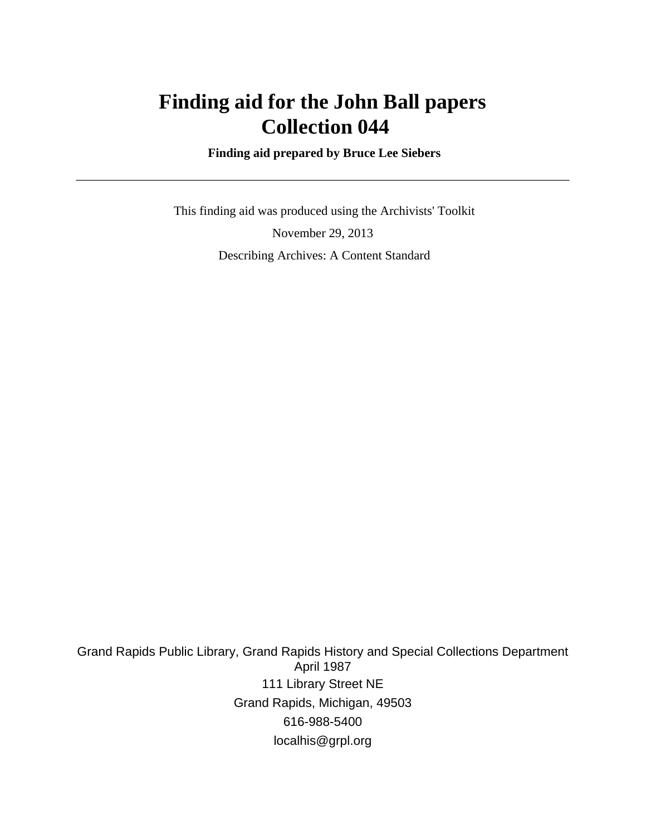# **Finding aid for the John Ball papers Collection 044**

 **Finding aid prepared by Bruce Lee Siebers**

 This finding aid was produced using the Archivists' Toolkit November 29, 2013 Describing Archives: A Content Standard

Grand Rapids Public Library, Grand Rapids History and Special Collections Department April 1987 111 Library Street NE Grand Rapids, Michigan, 49503 616-988-5400 localhis@grpl.org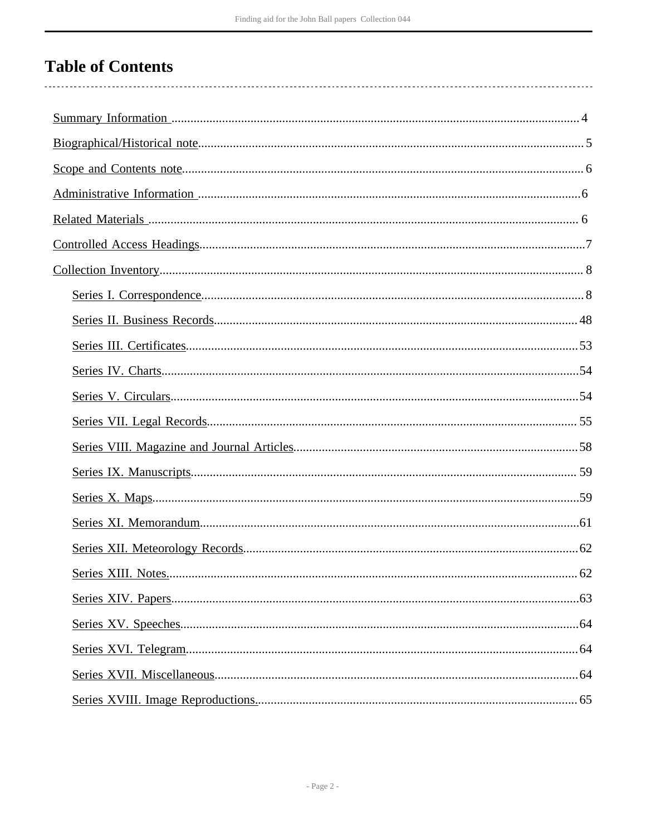# **Table of Contents**

. . . . . . . . . . .

 $\overline{a}$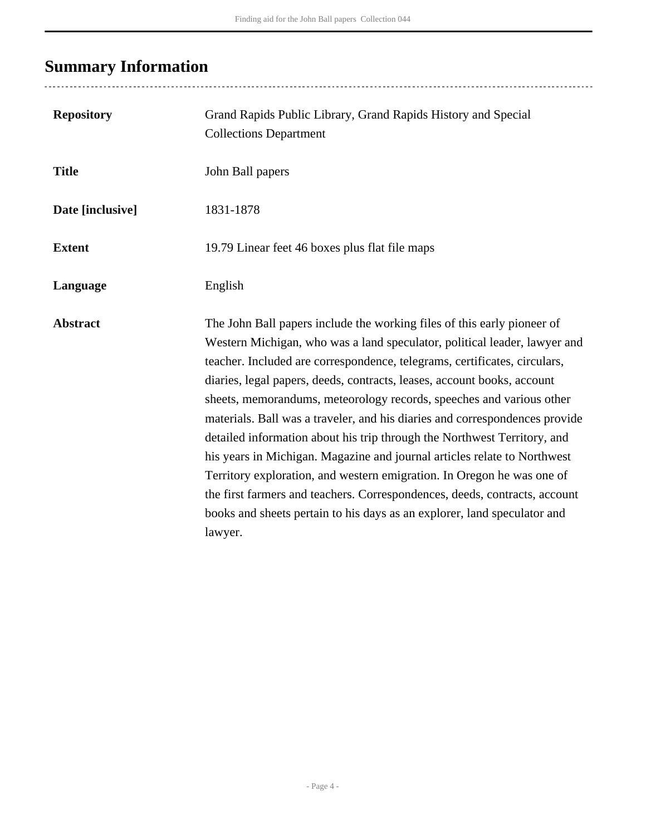# <span id="page-3-0"></span>**Summary Information**

| <b>Repository</b> | Grand Rapids Public Library, Grand Rapids History and Special<br><b>Collections Department</b>                                                                                                                                                                                                                                                                                                                                                                                                                                                                                                                                                                                                                                                                                                                                                                             |
|-------------------|----------------------------------------------------------------------------------------------------------------------------------------------------------------------------------------------------------------------------------------------------------------------------------------------------------------------------------------------------------------------------------------------------------------------------------------------------------------------------------------------------------------------------------------------------------------------------------------------------------------------------------------------------------------------------------------------------------------------------------------------------------------------------------------------------------------------------------------------------------------------------|
| <b>Title</b>      | John Ball papers                                                                                                                                                                                                                                                                                                                                                                                                                                                                                                                                                                                                                                                                                                                                                                                                                                                           |
| Date [inclusive]  | 1831-1878                                                                                                                                                                                                                                                                                                                                                                                                                                                                                                                                                                                                                                                                                                                                                                                                                                                                  |
| <b>Extent</b>     | 19.79 Linear feet 46 boxes plus flat file maps                                                                                                                                                                                                                                                                                                                                                                                                                                                                                                                                                                                                                                                                                                                                                                                                                             |
| Language          | English                                                                                                                                                                                                                                                                                                                                                                                                                                                                                                                                                                                                                                                                                                                                                                                                                                                                    |
| <b>Abstract</b>   | The John Ball papers include the working files of this early pioneer of<br>Western Michigan, who was a land speculator, political leader, lawyer and<br>teacher. Included are correspondence, telegrams, certificates, circulars,<br>diaries, legal papers, deeds, contracts, leases, account books, account<br>sheets, memorandums, meteorology records, speeches and various other<br>materials. Ball was a traveler, and his diaries and correspondences provide<br>detailed information about his trip through the Northwest Territory, and<br>his years in Michigan. Magazine and journal articles relate to Northwest<br>Territory exploration, and western emigration. In Oregon he was one of<br>the first farmers and teachers. Correspondences, deeds, contracts, account<br>books and sheets pertain to his days as an explorer, land speculator and<br>lawyer. |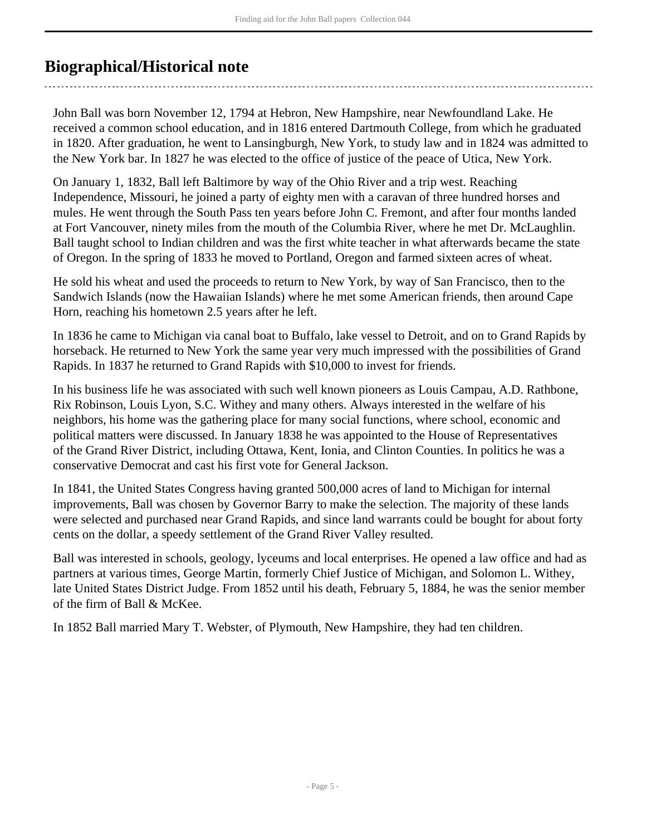# <span id="page-4-0"></span>**Biographical/Historical note**

John Ball was born November 12, 1794 at Hebron, New Hampshire, near Newfoundland Lake. He received a common school education, and in 1816 entered Dartmouth College, from which he graduated in 1820. After graduation, he went to Lansingburgh, New York, to study law and in 1824 was admitted to the New York bar. In 1827 he was elected to the office of justice of the peace of Utica, New York.

On January 1, 1832, Ball left Baltimore by way of the Ohio River and a trip west. Reaching Independence, Missouri, he joined a party of eighty men with a caravan of three hundred horses and mules. He went through the South Pass ten years before John C. Fremont, and after four months landed at Fort Vancouver, ninety miles from the mouth of the Columbia River, where he met Dr. McLaughlin. Ball taught school to Indian children and was the first white teacher in what afterwards became the state of Oregon. In the spring of 1833 he moved to Portland, Oregon and farmed sixteen acres of wheat.

He sold his wheat and used the proceeds to return to New York, by way of San Francisco, then to the Sandwich Islands (now the Hawaiian Islands) where he met some American friends, then around Cape Horn, reaching his hometown 2.5 years after he left.

In 1836 he came to Michigan via canal boat to Buffalo, lake vessel to Detroit, and on to Grand Rapids by horseback. He returned to New York the same year very much impressed with the possibilities of Grand Rapids. In 1837 he returned to Grand Rapids with \$10,000 to invest for friends.

In his business life he was associated with such well known pioneers as Louis Campau, A.D. Rathbone, Rix Robinson, Louis Lyon, S.C. Withey and many others. Always interested in the welfare of his neighbors, his home was the gathering place for many social functions, where school, economic and political matters were discussed. In January 1838 he was appointed to the House of Representatives of the Grand River District, including Ottawa, Kent, Ionia, and Clinton Counties. In politics he was a conservative Democrat and cast his first vote for General Jackson.

In 1841, the United States Congress having granted 500,000 acres of land to Michigan for internal improvements, Ball was chosen by Governor Barry to make the selection. The majority of these lands were selected and purchased near Grand Rapids, and since land warrants could be bought for about forty cents on the dollar, a speedy settlement of the Grand River Valley resulted.

Ball was interested in schools, geology, lyceums and local enterprises. He opened a law office and had as partners at various times, George Martin, formerly Chief Justice of Michigan, and Solomon L. Withey, late United States District Judge. From 1852 until his death, February 5, 1884, he was the senior member of the firm of Ball & McKee.

In 1852 Ball married Mary T. Webster, of Plymouth, New Hampshire, they had ten children.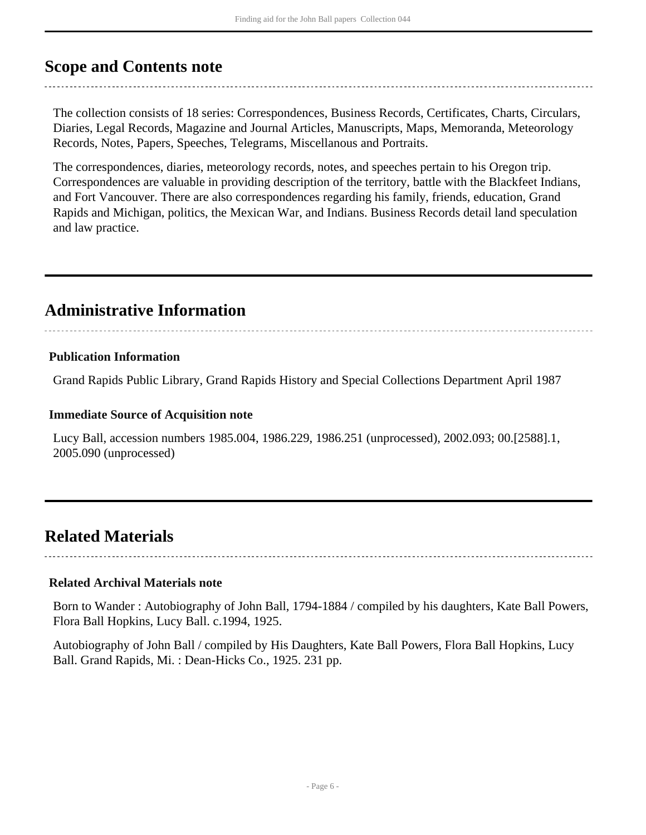# <span id="page-5-0"></span>**Scope and Contents note**

The collection consists of 18 series: Correspondences, Business Records, Certificates, Charts, Circulars, Diaries, Legal Records, Magazine and Journal Articles, Manuscripts, Maps, Memoranda, Meteorology Records, Notes, Papers, Speeches, Telegrams, Miscellanous and Portraits.

The correspondences, diaries, meteorology records, notes, and speeches pertain to his Oregon trip. Correspondences are valuable in providing description of the territory, battle with the Blackfeet Indians, and Fort Vancouver. There are also correspondences regarding his family, friends, education, Grand Rapids and Michigan, politics, the Mexican War, and Indians. Business Records detail land speculation and law practice.

# <span id="page-5-1"></span>**Administrative Information**

# **Publication Information**

Grand Rapids Public Library, Grand Rapids History and Special Collections Department April 1987

# **Immediate Source of Acquisition note**

Lucy Ball, accession numbers 1985.004, 1986.229, 1986.251 (unprocessed), 2002.093; 00.[2588].1, 2005.090 (unprocessed)

# <span id="page-5-2"></span>**Related Materials**

# **Related Archival Materials note**

Born to Wander : Autobiography of John Ball, 1794-1884 / compiled by his daughters, Kate Ball Powers, Flora Ball Hopkins, Lucy Ball. c.1994, 1925.

Autobiography of John Ball / compiled by His Daughters, Kate Ball Powers, Flora Ball Hopkins, Lucy Ball. Grand Rapids, Mi. : Dean-Hicks Co., 1925. 231 pp.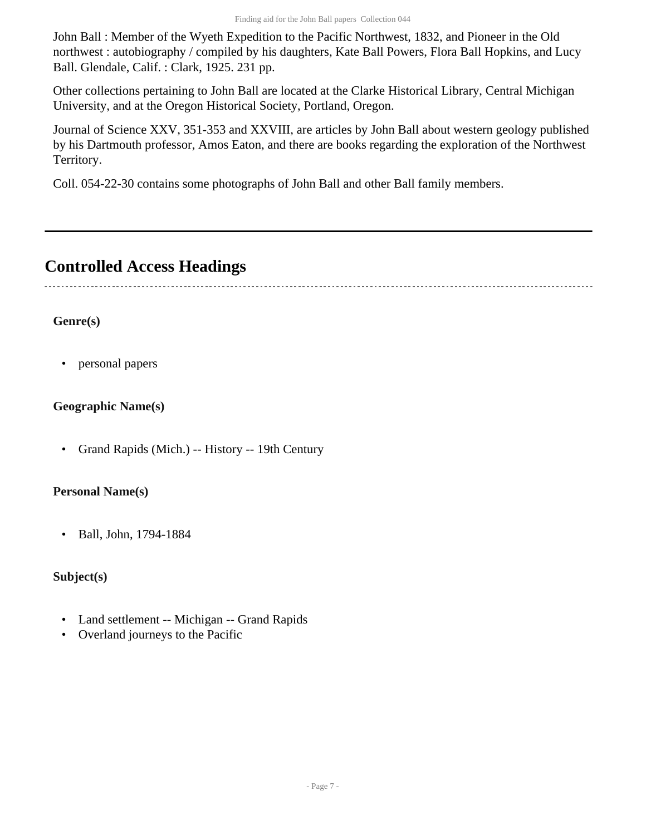John Ball : Member of the Wyeth Expedition to the Pacific Northwest, 1832, and Pioneer in the Old northwest : autobiography / compiled by his daughters, Kate Ball Powers, Flora Ball Hopkins, and Lucy Ball. Glendale, Calif. : Clark, 1925. 231 pp.

Other collections pertaining to John Ball are located at the Clarke Historical Library, Central Michigan University, and at the Oregon Historical Society, Portland, Oregon.

Journal of Science XXV, 351-353 and XXVIII, are articles by John Ball about western geology published by his Dartmouth professor, Amos Eaton, and there are books regarding the exploration of the Northwest Territory.

Coll. 054-22-30 contains some photographs of John Ball and other Ball family members.

# <span id="page-6-0"></span>**Controlled Access Headings**

# **Genre(s)**

• personal papers

# **Geographic Name(s)**

• Grand Rapids (Mich.) -- History -- 19th Century

# **Personal Name(s)**

• Ball, John, 1794-1884

# **Subject(s)**

- Land settlement -- Michigan -- Grand Rapids
- Overland journeys to the Pacific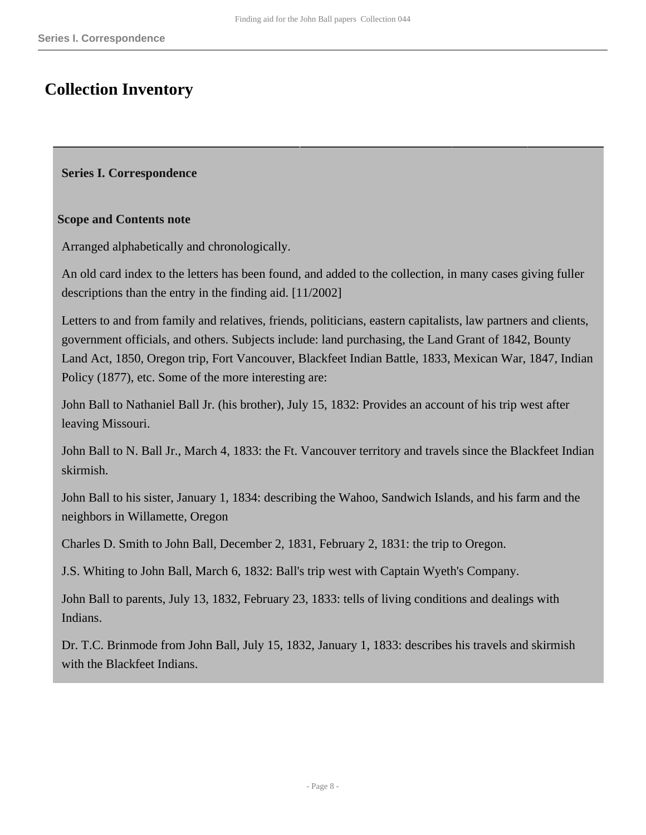# <span id="page-7-0"></span>**Collection Inventory**

#### <span id="page-7-1"></span>**Series I. Correspondence**

#### **Scope and Contents note**

Arranged alphabetically and chronologically.

An old card index to the letters has been found, and added to the collection, in many cases giving fuller descriptions than the entry in the finding aid. [11/2002]

Letters to and from family and relatives, friends, politicians, eastern capitalists, law partners and clients, government officials, and others. Subjects include: land purchasing, the Land Grant of 1842, Bounty Land Act, 1850, Oregon trip, Fort Vancouver, Blackfeet Indian Battle, 1833, Mexican War, 1847, Indian Policy (1877), etc. Some of the more interesting are:

John Ball to Nathaniel Ball Jr. (his brother), July 15, 1832: Provides an account of his trip west after leaving Missouri.

John Ball to N. Ball Jr., March 4, 1833: the Ft. Vancouver territory and travels since the Blackfeet Indian skirmish.

John Ball to his sister, January 1, 1834: describing the Wahoo, Sandwich Islands, and his farm and the neighbors in Willamette, Oregon

Charles D. Smith to John Ball, December 2, 1831, February 2, 1831: the trip to Oregon.

J.S. Whiting to John Ball, March 6, 1832: Ball's trip west with Captain Wyeth's Company.

John Ball to parents, July 13, 1832, February 23, 1833: tells of living conditions and dealings with Indians.

Dr. T.C. Brinmode from John Ball, July 15, 1832, January 1, 1833: describes his travels and skirmish with the Blackfeet Indians.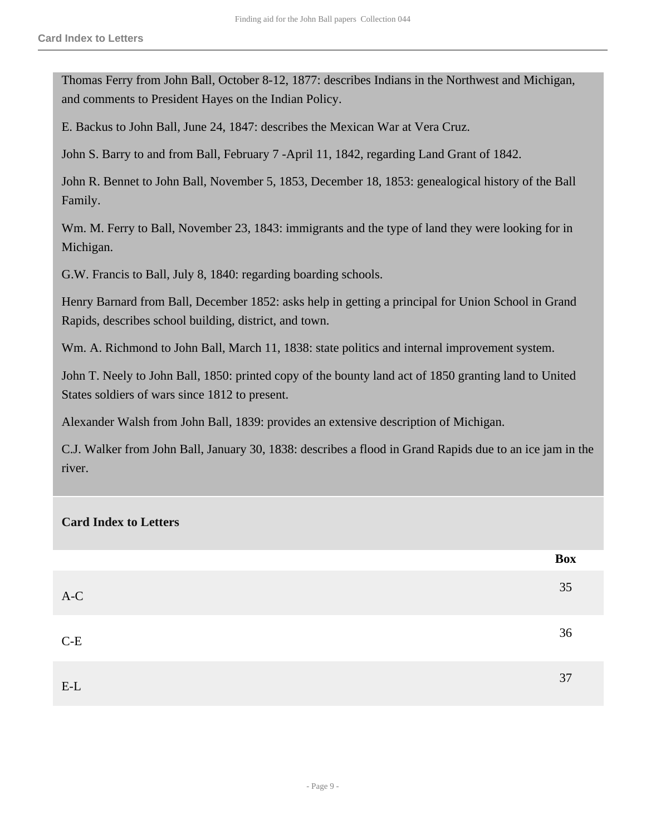Thomas Ferry from John Ball, October 8-12, 1877: describes Indians in the Northwest and Michigan, and comments to President Hayes on the Indian Policy.

E. Backus to John Ball, June 24, 1847: describes the Mexican War at Vera Cruz.

John S. Barry to and from Ball, February 7 -April 11, 1842, regarding Land Grant of 1842.

John R. Bennet to John Ball, November 5, 1853, December 18, 1853: genealogical history of the Ball Family.

Wm. M. Ferry to Ball, November 23, 1843: immigrants and the type of land they were looking for in Michigan.

G.W. Francis to Ball, July 8, 1840: regarding boarding schools.

Henry Barnard from Ball, December 1852: asks help in getting a principal for Union School in Grand Rapids, describes school building, district, and town.

Wm. A. Richmond to John Ball, March 11, 1838: state politics and internal improvement system.

John T. Neely to John Ball, 1850: printed copy of the bounty land act of 1850 granting land to United States soldiers of wars since 1812 to present.

Alexander Walsh from John Ball, 1839: provides an extensive description of Michigan.

C.J. Walker from John Ball, January 30, 1838: describes a flood in Grand Rapids due to an ice jam in the river.

#### **Card Index to Letters**

|       | Box |
|-------|-----|
| $A-C$ | 35  |
| $C-E$ | 36  |
| $E-L$ | 37  |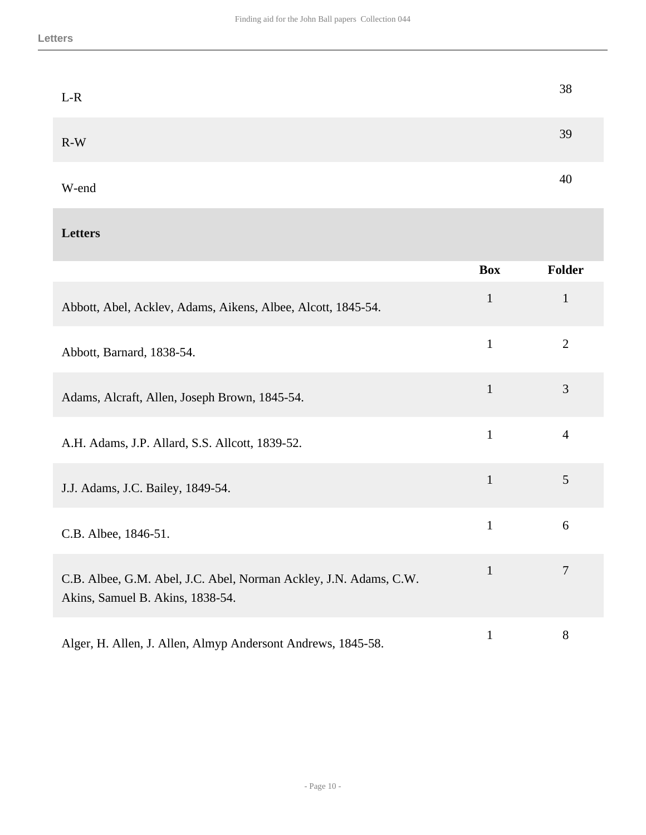| $L-R$ | 38 |
|-------|----|
| $R-W$ | 39 |
| W-end | 40 |

# **Letters**

|                                                                                                       | <b>Box</b>   | Folder         |
|-------------------------------------------------------------------------------------------------------|--------------|----------------|
| Abbott, Abel, Acklev, Adams, Aikens, Albee, Alcott, 1845-54.                                          | $\mathbf{1}$ | $\mathbf{1}$   |
| Abbott, Barnard, 1838-54.                                                                             | $\mathbf{1}$ | $\overline{2}$ |
| Adams, Alcraft, Allen, Joseph Brown, 1845-54.                                                         | $\mathbf{1}$ | 3              |
| A.H. Adams, J.P. Allard, S.S. Allcott, 1839-52.                                                       | $\mathbf{1}$ | $\overline{4}$ |
| J.J. Adams, J.C. Bailey, 1849-54.                                                                     | $\mathbf{1}$ | 5              |
| C.B. Albee, 1846-51.                                                                                  | $\mathbf{1}$ | 6              |
| C.B. Albee, G.M. Abel, J.C. Abel, Norman Ackley, J.N. Adams, C.W.<br>Akins, Samuel B. Akins, 1838-54. | $\mathbf{1}$ | 7              |
| Alger, H. Allen, J. Allen, Almyp Andersont Andrews, 1845-58.                                          | $\mathbf{1}$ | 8              |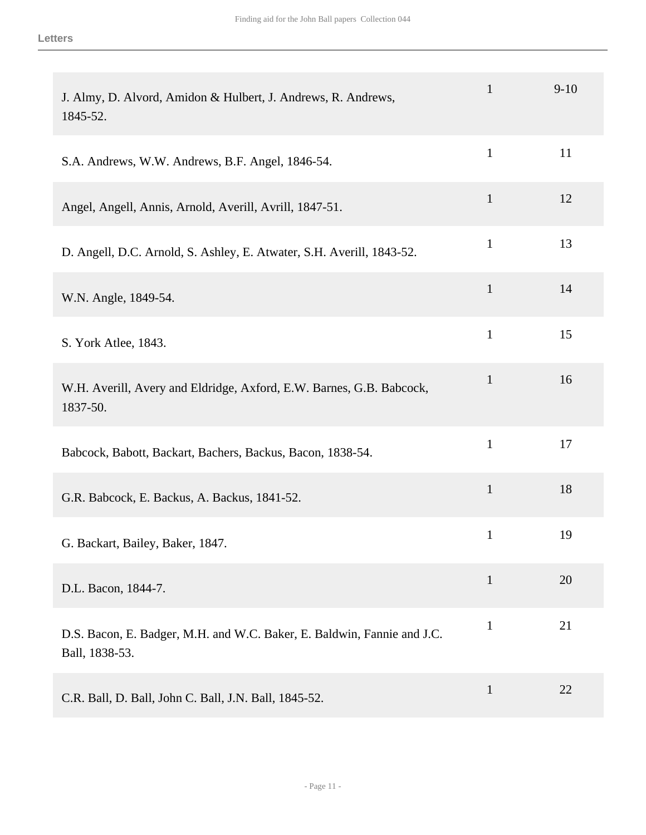| J. Almy, D. Alvord, Amidon & Hulbert, J. Andrews, R. Andrews,<br>1845-52.                 | $\mathbf{1}$ | $9-10$ |
|-------------------------------------------------------------------------------------------|--------------|--------|
| S.A. Andrews, W.W. Andrews, B.F. Angel, 1846-54.                                          | $\mathbf{1}$ | 11     |
| Angel, Angell, Annis, Arnold, Averill, Avrill, 1847-51.                                   | $\mathbf{1}$ | 12     |
| D. Angell, D.C. Arnold, S. Ashley, E. Atwater, S.H. Averill, 1843-52.                     | $\mathbf{1}$ | 13     |
| W.N. Angle, 1849-54.                                                                      | $\mathbf{1}$ | 14     |
| S. York Atlee, 1843.                                                                      | $\mathbf{1}$ | 15     |
| W.H. Averill, Avery and Eldridge, Axford, E.W. Barnes, G.B. Babcock,<br>1837-50.          | $\mathbf{1}$ | 16     |
| Babcock, Babott, Backart, Bachers, Backus, Bacon, 1838-54.                                | $\mathbf{1}$ | 17     |
| G.R. Babcock, E. Backus, A. Backus, 1841-52.                                              | $\mathbf{1}$ | 18     |
| G. Backart, Bailey, Baker, 1847.                                                          | $\mathbf{1}$ | 19     |
| D.L. Bacon, 1844-7.                                                                       | $\mathbf{1}$ | 20     |
| D.S. Bacon, E. Badger, M.H. and W.C. Baker, E. Baldwin, Fannie and J.C.<br>Ball, 1838-53. | $\mathbf{1}$ | 21     |
| C.R. Ball, D. Ball, John C. Ball, J.N. Ball, 1845-52.                                     | $\mathbf{1}$ | 22     |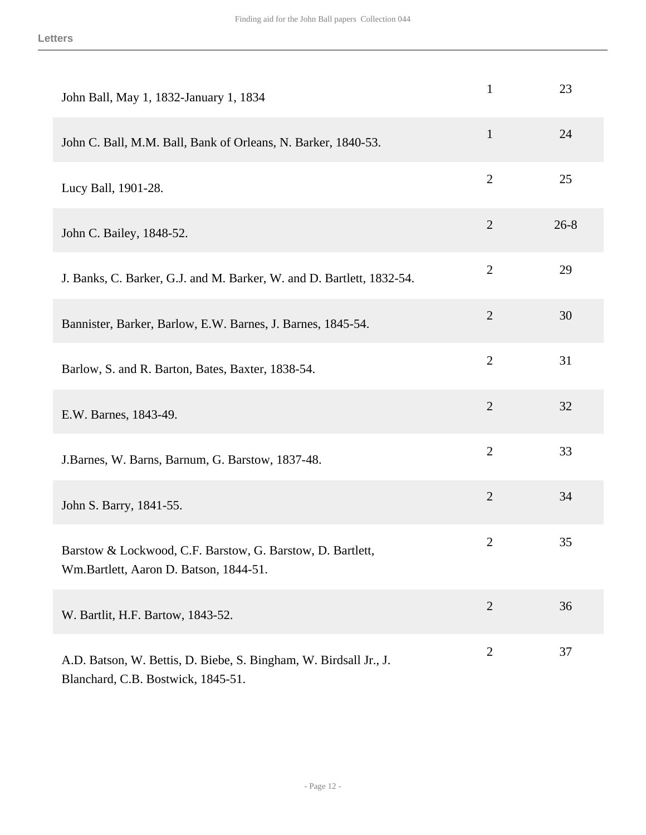| John Ball, May 1, 1832-January 1, 1834                                                                  | $\mathbf{1}$   | 23       |
|---------------------------------------------------------------------------------------------------------|----------------|----------|
| John C. Ball, M.M. Ball, Bank of Orleans, N. Barker, 1840-53.                                           | $\mathbf{1}$   | 24       |
| Lucy Ball, 1901-28.                                                                                     | $\overline{2}$ | 25       |
| John C. Bailey, 1848-52.                                                                                | $\overline{2}$ | $26 - 8$ |
| J. Banks, C. Barker, G.J. and M. Barker, W. and D. Bartlett, 1832-54.                                   | $\overline{2}$ | 29       |
| Bannister, Barker, Barlow, E.W. Barnes, J. Barnes, 1845-54.                                             | $\sqrt{2}$     | 30       |
| Barlow, S. and R. Barton, Bates, Baxter, 1838-54.                                                       | $\overline{2}$ | 31       |
| E.W. Barnes, 1843-49.                                                                                   | $\mathfrak{2}$ | 32       |
| J.Barnes, W. Barns, Barnum, G. Barstow, 1837-48.                                                        | $\overline{2}$ | 33       |
| John S. Barry, 1841-55.                                                                                 | $\mathfrak{2}$ | 34       |
| Barstow & Lockwood, C.F. Barstow, G. Barstow, D. Bartlett,<br>Wm.Bartlett, Aaron D. Batson, 1844-51.    | $\mathbf{2}$   | 35       |
| W. Bartlit, H.F. Bartow, 1843-52.                                                                       | $\overline{2}$ | 36       |
| A.D. Batson, W. Bettis, D. Biebe, S. Bingham, W. Birdsall Jr., J.<br>Blanchard, C.B. Bostwick, 1845-51. | $\overline{2}$ | 37       |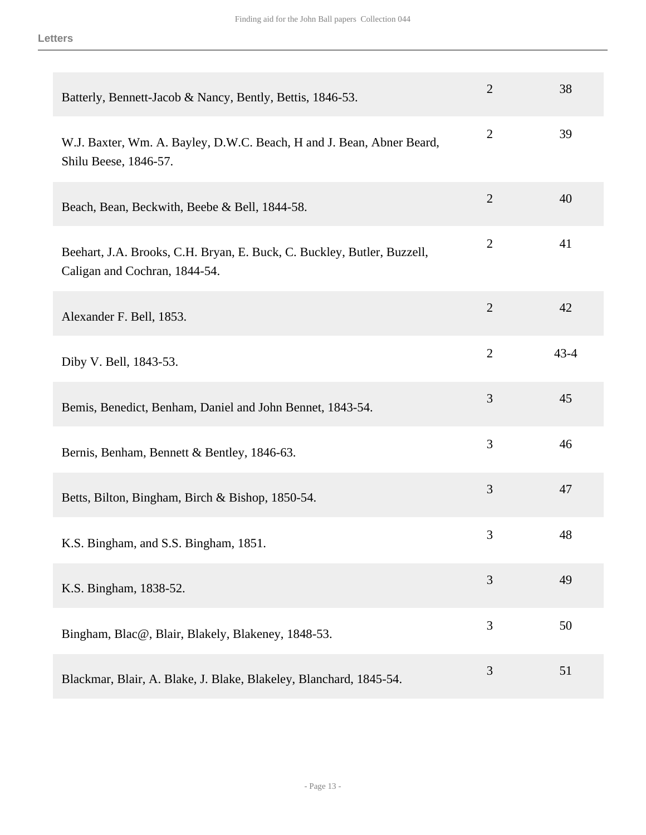| Batterly, Bennett-Jacob & Nancy, Bently, Bettis, 1846-53.                                                | $\overline{2}$ | 38       |
|----------------------------------------------------------------------------------------------------------|----------------|----------|
| W.J. Baxter, Wm. A. Bayley, D.W.C. Beach, H and J. Bean, Abner Beard,<br>Shilu Beese, 1846-57.           | $\overline{2}$ | 39       |
| Beach, Bean, Beckwith, Beebe & Bell, 1844-58.                                                            | $\overline{2}$ | 40       |
| Beehart, J.A. Brooks, C.H. Bryan, E. Buck, C. Buckley, Butler, Buzzell,<br>Caligan and Cochran, 1844-54. | $\mathbf{2}$   | 41       |
| Alexander F. Bell, 1853.                                                                                 | $\overline{2}$ | 42       |
| Diby V. Bell, 1843-53.                                                                                   | $\overline{2}$ | $43 - 4$ |
| Bemis, Benedict, Benham, Daniel and John Bennet, 1843-54.                                                | $\mathfrak{Z}$ | 45       |
| Bernis, Benham, Bennett & Bentley, 1846-63.                                                              | 3              | 46       |
| Betts, Bilton, Bingham, Birch & Bishop, 1850-54.                                                         | 3              | 47       |
| K.S. Bingham, and S.S. Bingham, 1851.                                                                    | 3              | 48       |
| K.S. Bingham, 1838-52.                                                                                   | $\overline{3}$ | 49       |
| Bingham, Blac@, Blair, Blakely, Blakeney, 1848-53.                                                       | 3              | 50       |
| Blackmar, Blair, A. Blake, J. Blake, Blakeley, Blanchard, 1845-54.                                       | 3              | 51       |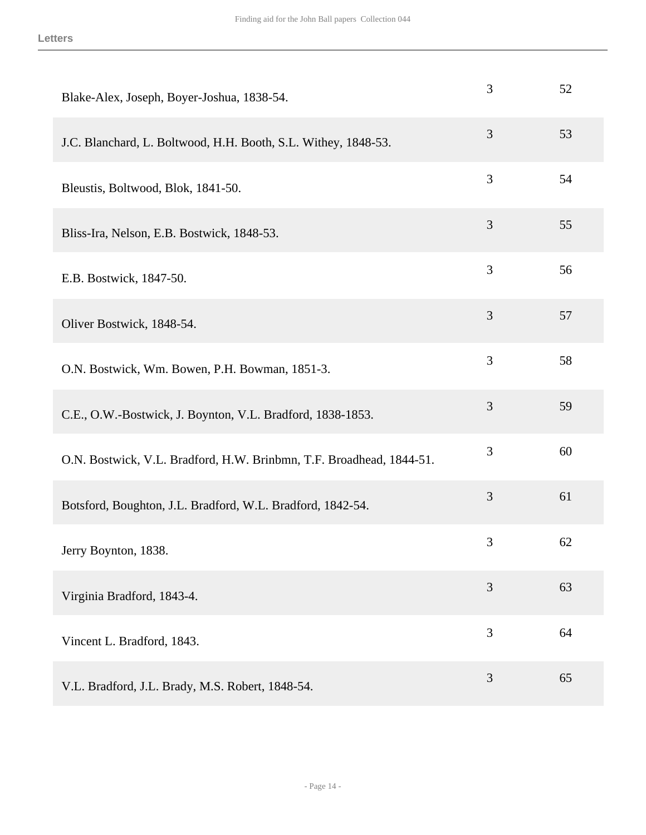| Blake-Alex, Joseph, Boyer-Joshua, 1838-54.                           | 3 | 52 |
|----------------------------------------------------------------------|---|----|
| J.C. Blanchard, L. Boltwood, H.H. Booth, S.L. Withey, 1848-53.       | 3 | 53 |
| Bleustis, Boltwood, Blok, 1841-50.                                   | 3 | 54 |
| Bliss-Ira, Nelson, E.B. Bostwick, 1848-53.                           | 3 | 55 |
| E.B. Bostwick, 1847-50.                                              | 3 | 56 |
| Oliver Bostwick, 1848-54.                                            | 3 | 57 |
| O.N. Bostwick, Wm. Bowen, P.H. Bowman, 1851-3.                       | 3 | 58 |
| C.E., O.W.-Bostwick, J. Boynton, V.L. Bradford, 1838-1853.           | 3 | 59 |
| O.N. Bostwick, V.L. Bradford, H.W. Brinbmn, T.F. Broadhead, 1844-51. | 3 | 60 |
| Botsford, Boughton, J.L. Bradford, W.L. Bradford, 1842-54.           | 3 | 61 |
| Jerry Boynton, 1838.                                                 | 3 | 62 |
| Virginia Bradford, 1843-4.                                           | 3 | 63 |
| Vincent L. Bradford, 1843.                                           | 3 | 64 |
| V.L. Bradford, J.L. Brady, M.S. Robert, 1848-54.                     | 3 | 65 |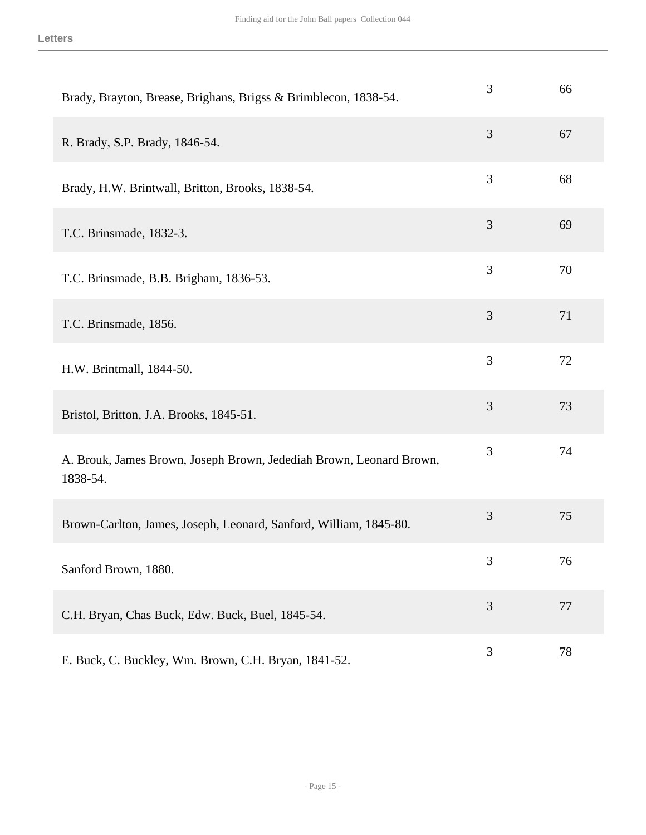| Brady, Brayton, Brease, Brighans, Brigss & Brimblecon, 1838-54.                 | 3 | 66 |
|---------------------------------------------------------------------------------|---|----|
| R. Brady, S.P. Brady, 1846-54.                                                  | 3 | 67 |
| Brady, H.W. Brintwall, Britton, Brooks, 1838-54.                                | 3 | 68 |
| T.C. Brinsmade, 1832-3.                                                         | 3 | 69 |
| T.C. Brinsmade, B.B. Brigham, 1836-53.                                          | 3 | 70 |
| T.C. Brinsmade, 1856.                                                           | 3 | 71 |
| H.W. Brintmall, 1844-50.                                                        | 3 | 72 |
| Bristol, Britton, J.A. Brooks, 1845-51.                                         | 3 | 73 |
| A. Brouk, James Brown, Joseph Brown, Jedediah Brown, Leonard Brown,<br>1838-54. | 3 | 74 |
| Brown-Carlton, James, Joseph, Leonard, Sanford, William, 1845-80.               | 3 | 75 |
| Sanford Brown, 1880.                                                            | 3 | 76 |
| C.H. Bryan, Chas Buck, Edw. Buck, Buel, 1845-54.                                | 3 | 77 |
| E. Buck, C. Buckley, Wm. Brown, C.H. Bryan, 1841-52.                            | 3 | 78 |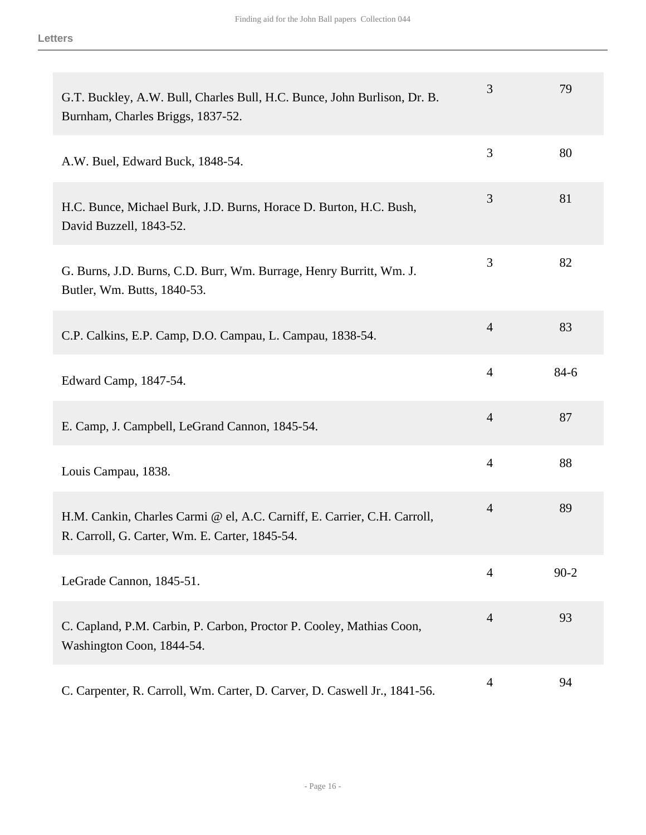| G.T. Buckley, A.W. Bull, Charles Bull, H.C. Bunce, John Burlison, Dr. B.<br>Burnham, Charles Briggs, 1837-52.              | 3              | 79       |
|----------------------------------------------------------------------------------------------------------------------------|----------------|----------|
| A.W. Buel, Edward Buck, 1848-54.                                                                                           | 3              | 80       |
| H.C. Bunce, Michael Burk, J.D. Burns, Horace D. Burton, H.C. Bush,<br>David Buzzell, 1843-52.                              | 3              | 81       |
| G. Burns, J.D. Burns, C.D. Burr, Wm. Burrage, Henry Burritt, Wm. J.<br>Butler, Wm. Butts, 1840-53.                         | 3              | 82       |
| C.P. Calkins, E.P. Camp, D.O. Campau, L. Campau, 1838-54.                                                                  | $\overline{4}$ | 83       |
| Edward Camp, 1847-54.                                                                                                      | $\overline{4}$ | $84-6$   |
| E. Camp, J. Campbell, LeGrand Cannon, 1845-54.                                                                             | $\overline{4}$ | 87       |
| Louis Campau, 1838.                                                                                                        | $\overline{4}$ | 88       |
| H.M. Cankin, Charles Carmi @ el, A.C. Carniff, E. Carrier, C.H. Carroll,<br>R. Carroll, G. Carter, Wm. E. Carter, 1845-54. | $\overline{4}$ | 89       |
| LeGrade Cannon, 1845-51.                                                                                                   | $\overline{4}$ | $90 - 2$ |
| C. Capland, P.M. Carbin, P. Carbon, Proctor P. Cooley, Mathias Coon,<br>Washington Coon, 1844-54.                          | $\overline{4}$ | 93       |
| C. Carpenter, R. Carroll, Wm. Carter, D. Carver, D. Caswell Jr., 1841-56.                                                  | $\overline{4}$ | 94       |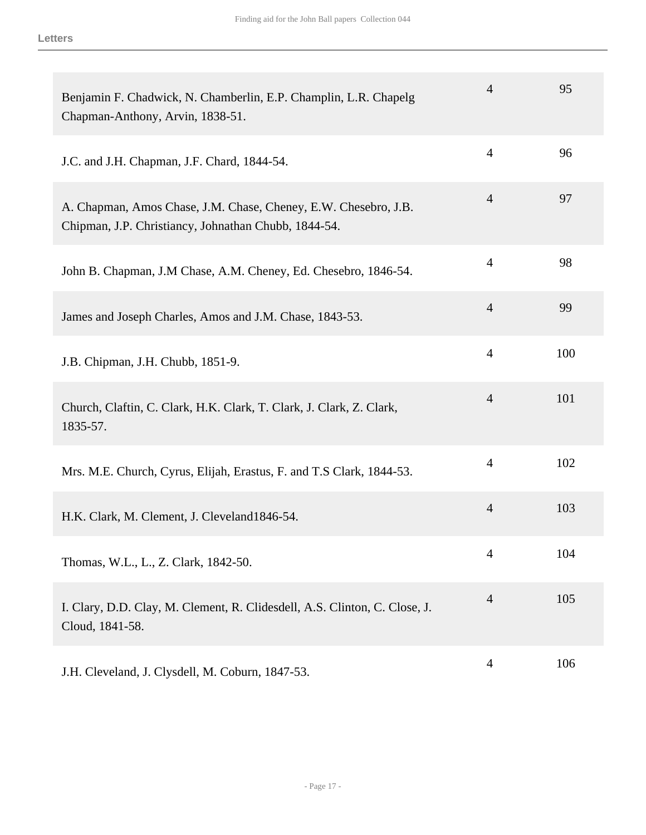| Benjamin F. Chadwick, N. Chamberlin, E.P. Champlin, L.R. Chapelg<br>Chapman-Anthony, Arvin, 1838-51.                    | $\overline{4}$ | 95  |
|-------------------------------------------------------------------------------------------------------------------------|----------------|-----|
| J.C. and J.H. Chapman, J.F. Chard, 1844-54.                                                                             | $\overline{4}$ | 96  |
| A. Chapman, Amos Chase, J.M. Chase, Cheney, E.W. Chesebro, J.B.<br>Chipman, J.P. Christiancy, Johnathan Chubb, 1844-54. | $\overline{4}$ | 97  |
| John B. Chapman, J.M Chase, A.M. Cheney, Ed. Chesebro, 1846-54.                                                         | $\overline{4}$ | 98  |
| James and Joseph Charles, Amos and J.M. Chase, 1843-53.                                                                 | $\overline{4}$ | 99  |
| J.B. Chipman, J.H. Chubb, 1851-9.                                                                                       | $\overline{4}$ | 100 |
| Church, Claftin, C. Clark, H.K. Clark, T. Clark, J. Clark, Z. Clark,<br>1835-57.                                        | $\overline{4}$ | 101 |
| Mrs. M.E. Church, Cyrus, Elijah, Erastus, F. and T.S Clark, 1844-53.                                                    | $\overline{4}$ | 102 |
| H.K. Clark, M. Clement, J. Cleveland1846-54.                                                                            | $\overline{4}$ | 103 |
| Thomas, W.L., L., Z. Clark, 1842-50.                                                                                    | 4              | 104 |
| I. Clary, D.D. Clay, M. Clement, R. Clidesdell, A.S. Clinton, C. Close, J.<br>Cloud, 1841-58.                           | $\overline{4}$ | 105 |
| J.H. Cleveland, J. Clysdell, M. Coburn, 1847-53.                                                                        | $\overline{4}$ | 106 |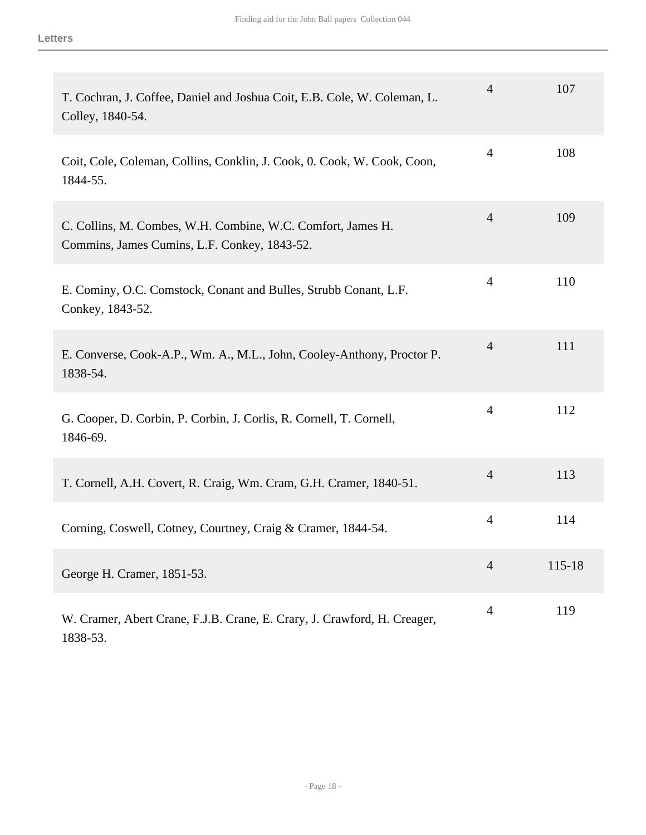| T. Cochran, J. Coffee, Daniel and Joshua Coit, E.B. Cole, W. Coleman, L.<br>Colley, 1840-54.                | $\overline{4}$ | 107    |
|-------------------------------------------------------------------------------------------------------------|----------------|--------|
| Coit, Cole, Coleman, Collins, Conklin, J. Cook, O. Cook, W. Cook, Coon,<br>1844-55.                         | $\overline{4}$ | 108    |
| C. Collins, M. Combes, W.H. Combine, W.C. Comfort, James H.<br>Commins, James Cumins, L.F. Conkey, 1843-52. | $\overline{4}$ | 109    |
| E. Cominy, O.C. Comstock, Conant and Bulles, Strubb Conant, L.F.<br>Conkey, 1843-52.                        | $\overline{4}$ | 110    |
| E. Converse, Cook-A.P., Wm. A., M.L., John, Cooley-Anthony, Proctor P.<br>1838-54.                          | $\overline{4}$ | 111    |
| G. Cooper, D. Corbin, P. Corbin, J. Corlis, R. Cornell, T. Cornell,<br>1846-69.                             | $\overline{4}$ | 112    |
| T. Cornell, A.H. Covert, R. Craig, Wm. Cram, G.H. Cramer, 1840-51.                                          | $\overline{4}$ | 113    |
| Corning, Coswell, Cotney, Courtney, Craig & Cramer, 1844-54.                                                | $\overline{4}$ | 114    |
| George H. Cramer, 1851-53.                                                                                  | $\overline{4}$ | 115-18 |
| W. Cramer, Abert Crane, F.J.B. Crane, E. Crary, J. Crawford, H. Creager,<br>1838-53.                        | $\overline{4}$ | 119    |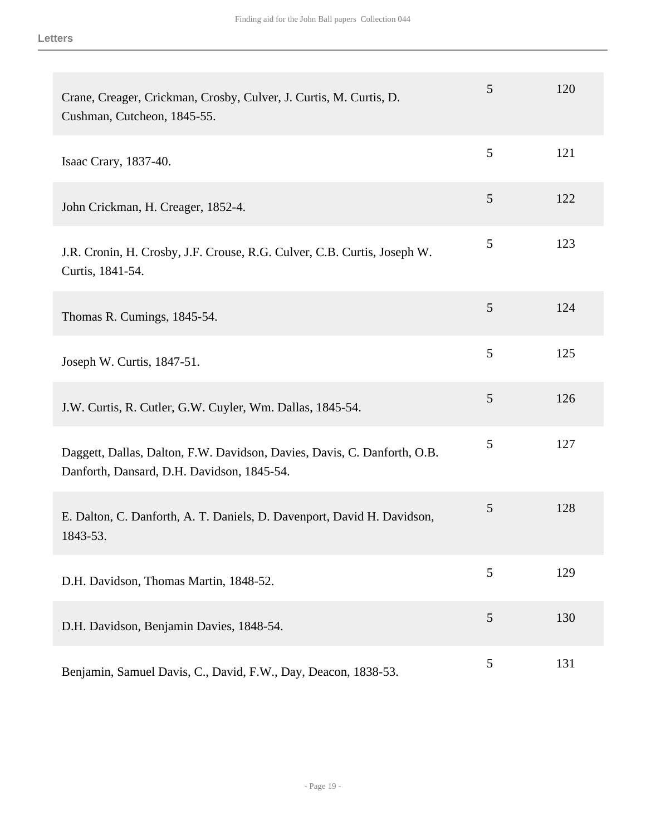| Crane, Creager, Crickman, Crosby, Culver, J. Curtis, M. Curtis, D.<br>Cushman, Cutcheon, 1845-55.                      | 5 | 120 |
|------------------------------------------------------------------------------------------------------------------------|---|-----|
| Isaac Crary, 1837-40.                                                                                                  | 5 | 121 |
| John Crickman, H. Creager, 1852-4.                                                                                     | 5 | 122 |
| J.R. Cronin, H. Crosby, J.F. Crouse, R.G. Culver, C.B. Curtis, Joseph W.<br>Curtis, 1841-54.                           | 5 | 123 |
| Thomas R. Cumings, 1845-54.                                                                                            | 5 | 124 |
| Joseph W. Curtis, 1847-51.                                                                                             | 5 | 125 |
| J.W. Curtis, R. Cutler, G.W. Cuyler, Wm. Dallas, 1845-54.                                                              | 5 | 126 |
| Daggett, Dallas, Dalton, F.W. Davidson, Davies, Davis, C. Danforth, O.B.<br>Danforth, Dansard, D.H. Davidson, 1845-54. | 5 | 127 |
| E. Dalton, C. Danforth, A. T. Daniels, D. Davenport, David H. Davidson,<br>1843-53.                                    | 5 | 128 |
| D.H. Davidson, Thomas Martin, 1848-52.                                                                                 | 5 | 129 |
| D.H. Davidson, Benjamin Davies, 1848-54.                                                                               | 5 | 130 |
| Benjamin, Samuel Davis, C., David, F.W., Day, Deacon, 1838-53.                                                         | 5 | 131 |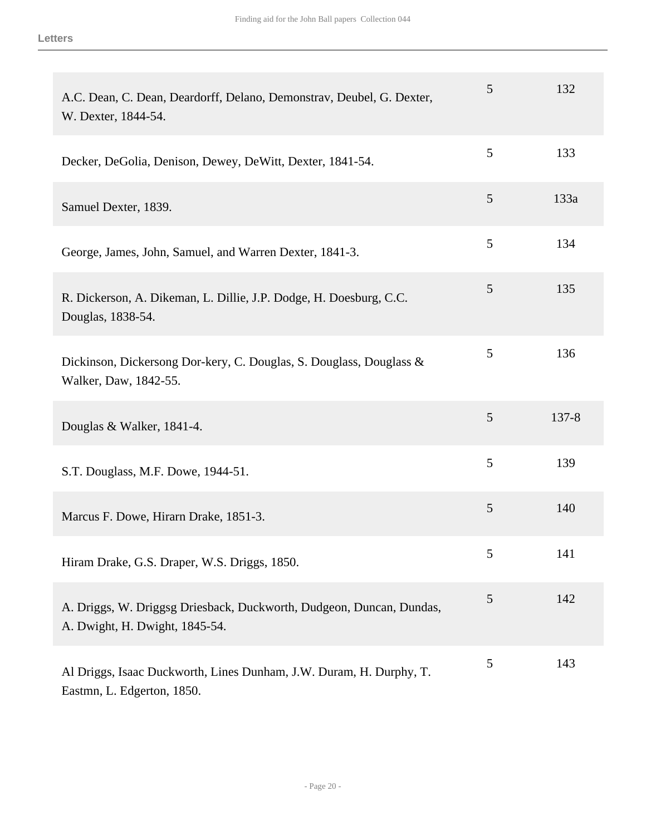| A.C. Dean, C. Dean, Deardorff, Delano, Demonstrav, Deubel, G. Dexter,<br>W. Dexter, 1844-54.           | 5 | 132       |
|--------------------------------------------------------------------------------------------------------|---|-----------|
| Decker, DeGolia, Denison, Dewey, DeWitt, Dexter, 1841-54.                                              | 5 | 133       |
| Samuel Dexter, 1839.                                                                                   | 5 | 133a      |
| George, James, John, Samuel, and Warren Dexter, 1841-3.                                                | 5 | 134       |
| R. Dickerson, A. Dikeman, L. Dillie, J.P. Dodge, H. Doesburg, C.C.<br>Douglas, 1838-54.                | 5 | 135       |
| Dickinson, Dickersong Dor-kery, C. Douglas, S. Douglass, Douglass &<br>Walker, Daw, 1842-55.           | 5 | 136       |
| Douglas & Walker, 1841-4.                                                                              | 5 | $137 - 8$ |
| S.T. Douglass, M.F. Dowe, 1944-51.                                                                     | 5 | 139       |
| Marcus F. Dowe, Hirarn Drake, 1851-3.                                                                  | 5 | 140       |
| Hiram Drake, G.S. Draper, W.S. Driggs, 1850.                                                           | 5 | 141       |
| A. Driggs, W. Driggsg Driesback, Duckworth, Dudgeon, Duncan, Dundas,<br>A. Dwight, H. Dwight, 1845-54. | 5 | 142       |
| Al Driggs, Isaac Duckworth, Lines Dunham, J.W. Duram, H. Durphy, T.<br>Eastmn, L. Edgerton, 1850.      | 5 | 143       |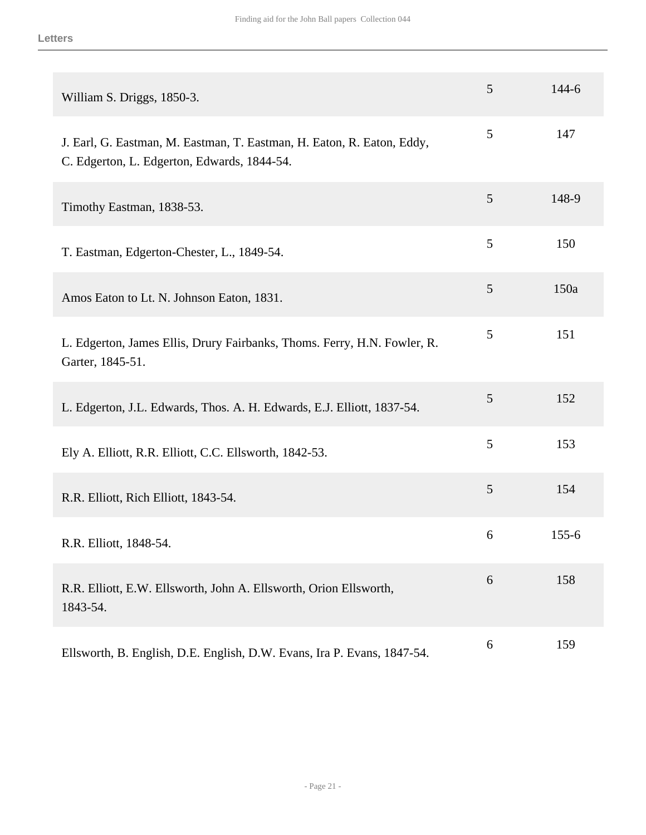| William S. Driggs, 1850-3.                                                                                            | 5 | 144-6     |
|-----------------------------------------------------------------------------------------------------------------------|---|-----------|
| J. Earl, G. Eastman, M. Eastman, T. Eastman, H. Eaton, R. Eaton, Eddy,<br>C. Edgerton, L. Edgerton, Edwards, 1844-54. | 5 | 147       |
| Timothy Eastman, 1838-53.                                                                                             | 5 | 148-9     |
| T. Eastman, Edgerton-Chester, L., 1849-54.                                                                            | 5 | 150       |
| Amos Eaton to Lt. N. Johnson Eaton, 1831.                                                                             | 5 | 150a      |
| L. Edgerton, James Ellis, Drury Fairbanks, Thoms. Ferry, H.N. Fowler, R.<br>Garter, 1845-51.                          | 5 | 151       |
| L. Edgerton, J.L. Edwards, Thos. A. H. Edwards, E.J. Elliott, 1837-54.                                                | 5 | 152       |
| Ely A. Elliott, R.R. Elliott, C.C. Ellsworth, 1842-53.                                                                | 5 | 153       |
| R.R. Elliott, Rich Elliott, 1843-54.                                                                                  | 5 | 154       |
| R.R. Elliott, 1848-54.                                                                                                | 6 | $155 - 6$ |
| R.R. Elliott, E.W. Ellsworth, John A. Ellsworth, Orion Ellsworth,<br>1843-54.                                         | 6 | 158       |
| Ellsworth, B. English, D.E. English, D.W. Evans, Ira P. Evans, 1847-54.                                               | 6 | 159       |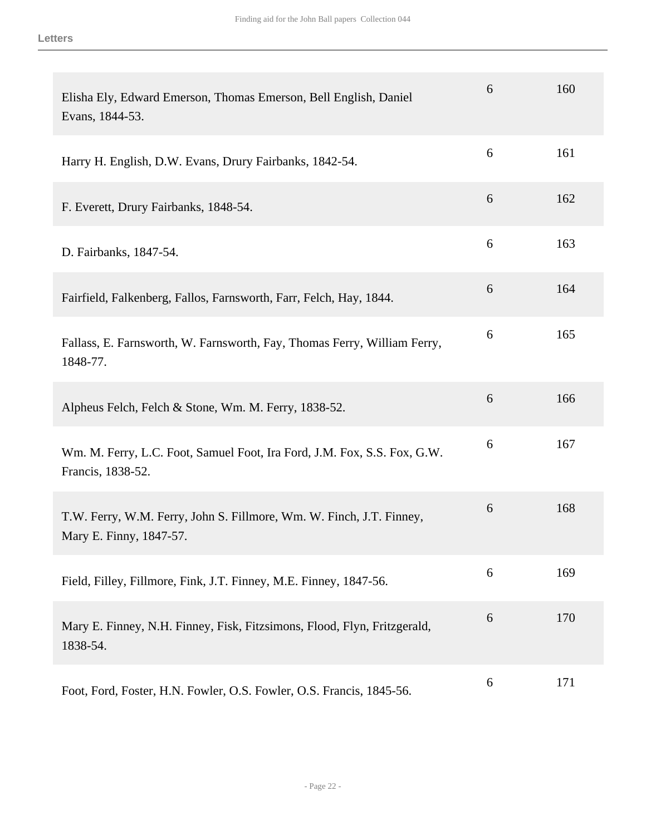| Elisha Ely, Edward Emerson, Thomas Emerson, Bell English, Daniel<br>Evans, 1844-53.             | 6 | 160 |
|-------------------------------------------------------------------------------------------------|---|-----|
| Harry H. English, D.W. Evans, Drury Fairbanks, 1842-54.                                         | 6 | 161 |
| F. Everett, Drury Fairbanks, 1848-54.                                                           | 6 | 162 |
| D. Fairbanks, 1847-54.                                                                          | 6 | 163 |
| Fairfield, Falkenberg, Fallos, Farnsworth, Farr, Felch, Hay, 1844.                              | 6 | 164 |
| Fallass, E. Farnsworth, W. Farnsworth, Fay, Thomas Ferry, William Ferry,<br>1848-77.            | 6 | 165 |
| Alpheus Felch, Felch & Stone, Wm. M. Ferry, 1838-52.                                            | 6 | 166 |
| Wm. M. Ferry, L.C. Foot, Samuel Foot, Ira Ford, J.M. Fox, S.S. Fox, G.W.<br>Francis, 1838-52.   | 6 | 167 |
| T.W. Ferry, W.M. Ferry, John S. Fillmore, Wm. W. Finch, J.T. Finney,<br>Mary E. Finny, 1847-57. | 6 | 168 |
| Field, Filley, Fillmore, Fink, J.T. Finney, M.E. Finney, 1847-56.                               | 6 | 169 |
| Mary E. Finney, N.H. Finney, Fisk, Fitzsimons, Flood, Flyn, Fritzgerald,<br>1838-54.            | 6 | 170 |
| Foot, Ford, Foster, H.N. Fowler, O.S. Fowler, O.S. Francis, 1845-56.                            | 6 | 171 |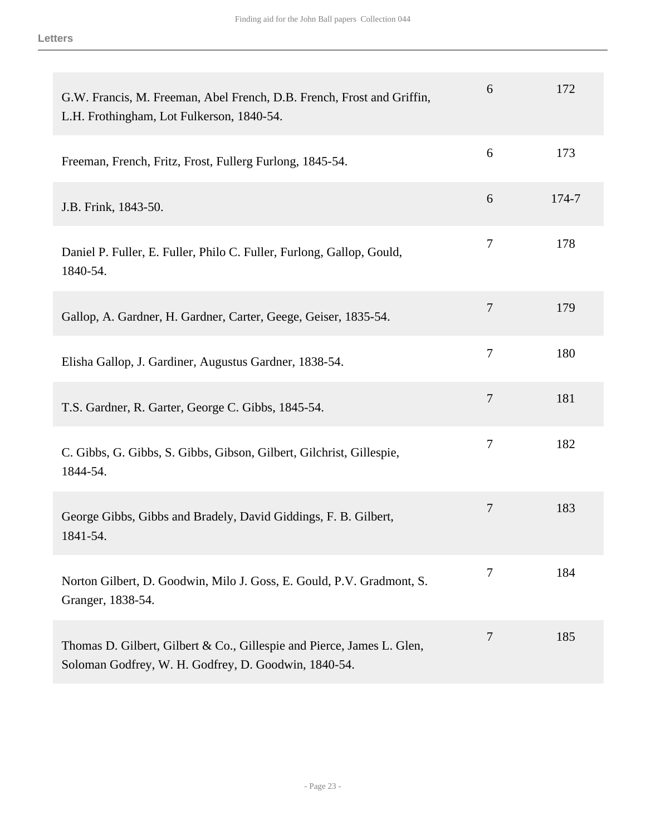| G.W. Francis, M. Freeman, Abel French, D.B. French, Frost and Griffin,<br>L.H. Frothingham, Lot Fulkerson, 1840-54.            | 6              | 172   |
|--------------------------------------------------------------------------------------------------------------------------------|----------------|-------|
| Freeman, French, Fritz, Frost, Fullerg Furlong, 1845-54.                                                                       | 6              | 173   |
| J.B. Frink, 1843-50.                                                                                                           | 6              | 174-7 |
| Daniel P. Fuller, E. Fuller, Philo C. Fuller, Furlong, Gallop, Gould,<br>1840-54.                                              | 7              | 178   |
| Gallop, A. Gardner, H. Gardner, Carter, Geege, Geiser, 1835-54.                                                                | $\overline{7}$ | 179   |
| Elisha Gallop, J. Gardiner, Augustus Gardner, 1838-54.                                                                         | 7              | 180   |
| T.S. Gardner, R. Garter, George C. Gibbs, 1845-54.                                                                             | $\overline{7}$ | 181   |
| C. Gibbs, G. Gibbs, S. Gibbs, Gibson, Gilbert, Gilchrist, Gillespie,<br>1844-54.                                               | 7              | 182   |
| George Gibbs, Gibbs and Bradely, David Giddings, F. B. Gilbert,<br>1841-54.                                                    | 7              | 183   |
| Norton Gilbert, D. Goodwin, Milo J. Goss, E. Gould, P.V. Gradmont, S.<br>Granger, 1838-54.                                     | 7              | 184   |
| Thomas D. Gilbert, Gilbert & Co., Gillespie and Pierce, James L. Glen,<br>Soloman Godfrey, W. H. Godfrey, D. Goodwin, 1840-54. | 7              | 185   |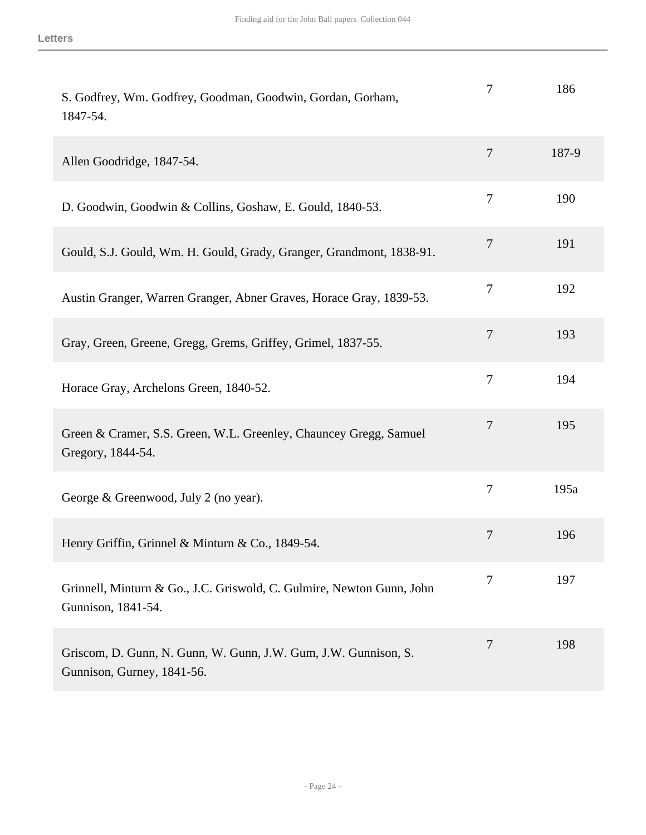| S. Godfrey, Wm. Godfrey, Goodman, Goodwin, Gordan, Gorham,<br>1847-54.                        | 7              | 186   |
|-----------------------------------------------------------------------------------------------|----------------|-------|
| Allen Goodridge, 1847-54.                                                                     | $\overline{7}$ | 187-9 |
| D. Goodwin, Goodwin & Collins, Goshaw, E. Gould, 1840-53.                                     | $\overline{7}$ | 190   |
| Gould, S.J. Gould, Wm. H. Gould, Grady, Granger, Grandmont, 1838-91.                          | 7              | 191   |
| Austin Granger, Warren Granger, Abner Graves, Horace Gray, 1839-53.                           | 7              | 192   |
| Gray, Green, Greene, Gregg, Grems, Griffey, Grimel, 1837-55.                                  | $\overline{7}$ | 193   |
| Horace Gray, Archelons Green, 1840-52.                                                        | 7              | 194   |
| Green & Cramer, S.S. Green, W.L. Greenley, Chauncey Gregg, Samuel<br>Gregory, 1844-54.        | $\tau$         | 195   |
| George & Greenwood, July 2 (no year).                                                         | 7              | 195a  |
| Henry Griffin, Grinnel & Minturn & Co., 1849-54.                                              | 7              | 196   |
| Grinnell, Minturn & Go., J.C. Griswold, C. Gulmire, Newton Gunn, John<br>Gunnison, 1841-54.   | 7              | 197   |
| Griscom, D. Gunn, N. Gunn, W. Gunn, J.W. Gum, J.W. Gunnison, S.<br>Gunnison, Gurney, 1841-56. | 7              | 198   |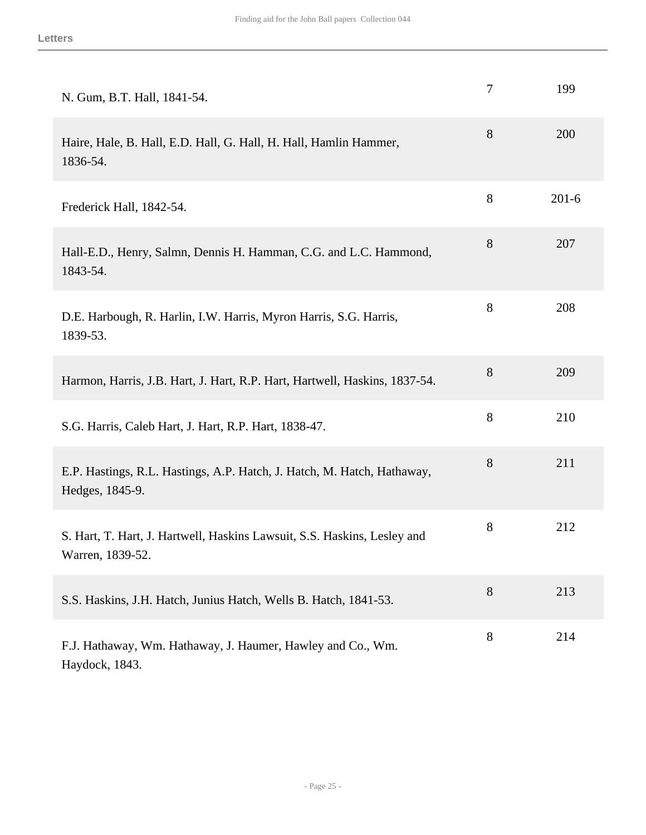| N. Gum, B.T. Hall, 1841-54.                                                                  | 7     | 199       |
|----------------------------------------------------------------------------------------------|-------|-----------|
| Haire, Hale, B. Hall, E.D. Hall, G. Hall, H. Hall, Hamlin Hammer,<br>1836-54.                | 8     | 200       |
| Frederick Hall, 1842-54.                                                                     | 8     | $201 - 6$ |
| Hall-E.D., Henry, Salmn, Dennis H. Hamman, C.G. and L.C. Hammond,<br>1843-54.                | 8     | 207       |
| D.E. Harbough, R. Harlin, I.W. Harris, Myron Harris, S.G. Harris,<br>1839-53.                | 8     | 208       |
| Harmon, Harris, J.B. Hart, J. Hart, R.P. Hart, Hartwell, Haskins, 1837-54.                   | 8     | 209       |
| S.G. Harris, Caleb Hart, J. Hart, R.P. Hart, 1838-47.                                        | 8     | 210       |
| E.P. Hastings, R.L. Hastings, A.P. Hatch, J. Hatch, M. Hatch, Hathaway,<br>Hedges, 1845-9.   | 8     | 211       |
| S. Hart, T. Hart, J. Hartwell, Haskins Lawsuit, S.S. Haskins, Lesley and<br>Warren, 1839-52. | $8\,$ | 212       |
| S.S. Haskins, J.H. Hatch, Junius Hatch, Wells B. Hatch, 1841-53.                             | 8     | 213       |
| F.J. Hathaway, Wm. Hathaway, J. Haumer, Hawley and Co., Wm.<br>Haydock, 1843.                | $8\,$ | 214       |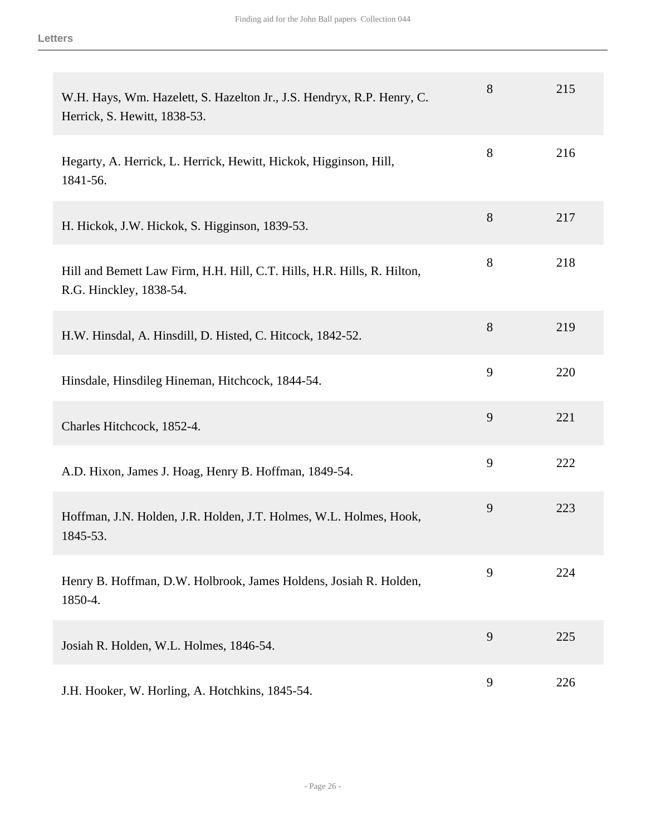| W.H. Hays, Wm. Hazelett, S. Hazelton Jr., J.S. Hendryx, R.P. Henry, C.<br>Herrick, S. Hewitt, 1838-53. | 8 | 215 |
|--------------------------------------------------------------------------------------------------------|---|-----|
| Hegarty, A. Herrick, L. Herrick, Hewitt, Hickok, Higginson, Hill,<br>1841-56.                          | 8 | 216 |
| H. Hickok, J.W. Hickok, S. Higginson, 1839-53.                                                         | 8 | 217 |
| Hill and Bemett Law Firm, H.H. Hill, C.T. Hills, H.R. Hills, R. Hilton,<br>R.G. Hinckley, 1838-54.     | 8 | 218 |
| H.W. Hinsdal, A. Hinsdill, D. Histed, C. Hitcock, 1842-52.                                             | 8 | 219 |
| Hinsdale, Hinsdileg Hineman, Hitchcock, 1844-54.                                                       | 9 | 220 |
| Charles Hitchcock, 1852-4.                                                                             | 9 | 221 |
| A.D. Hixon, James J. Hoag, Henry B. Hoffman, 1849-54.                                                  | 9 | 222 |
| Hoffman, J.N. Holden, J.R. Holden, J.T. Holmes, W.L. Holmes, Hook,<br>1845-53.                         | 9 | 223 |
| Henry B. Hoffman, D.W. Holbrook, James Holdens, Josiah R. Holden,<br>1850-4.                           | 9 | 224 |
| Josiah R. Holden, W.L. Holmes, 1846-54.                                                                | 9 | 225 |
| J.H. Hooker, W. Horling, A. Hotchkins, 1845-54.                                                        | 9 | 226 |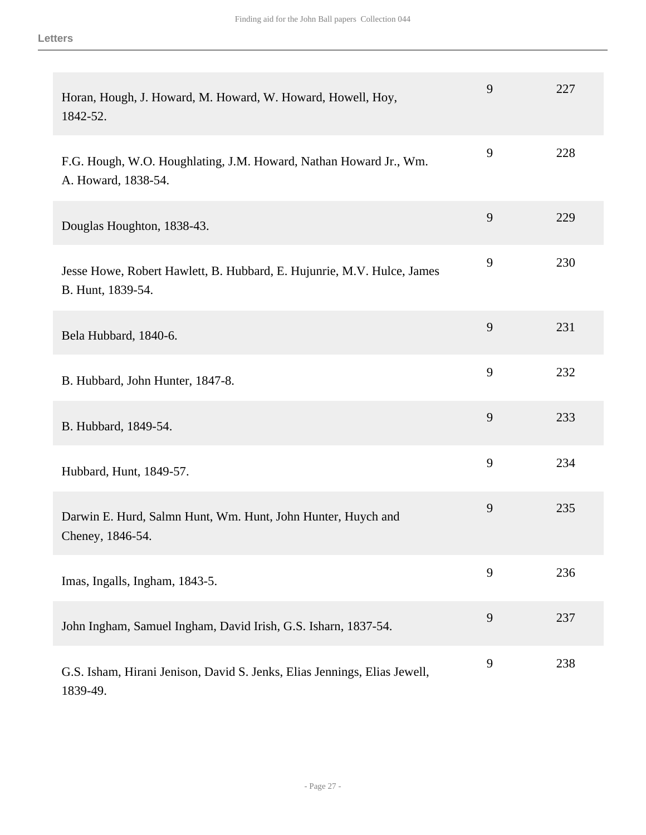| Horan, Hough, J. Howard, M. Howard, W. Howard, Howell, Hoy,<br>1842-52.                     | 9 | 227 |
|---------------------------------------------------------------------------------------------|---|-----|
| F.G. Hough, W.O. Houghlating, J.M. Howard, Nathan Howard Jr., Wm.<br>A. Howard, 1838-54.    | 9 | 228 |
| Douglas Houghton, 1838-43.                                                                  | 9 | 229 |
| Jesse Howe, Robert Hawlett, B. Hubbard, E. Hujunrie, M.V. Hulce, James<br>B. Hunt, 1839-54. | 9 | 230 |
| Bela Hubbard, 1840-6.                                                                       | 9 | 231 |
| B. Hubbard, John Hunter, 1847-8.                                                            | 9 | 232 |
| B. Hubbard, 1849-54.                                                                        | 9 | 233 |
| Hubbard, Hunt, 1849-57.                                                                     | 9 | 234 |
| Darwin E. Hurd, Salmn Hunt, Wm. Hunt, John Hunter, Huych and<br>Cheney, 1846-54.            | 9 | 235 |
| Imas, Ingalls, Ingham, 1843-5.                                                              | 9 | 236 |
| John Ingham, Samuel Ingham, David Irish, G.S. Isharn, 1837-54.                              | 9 | 237 |
| G.S. Isham, Hirani Jenison, David S. Jenks, Elias Jennings, Elias Jewell,<br>1839-49.       | 9 | 238 |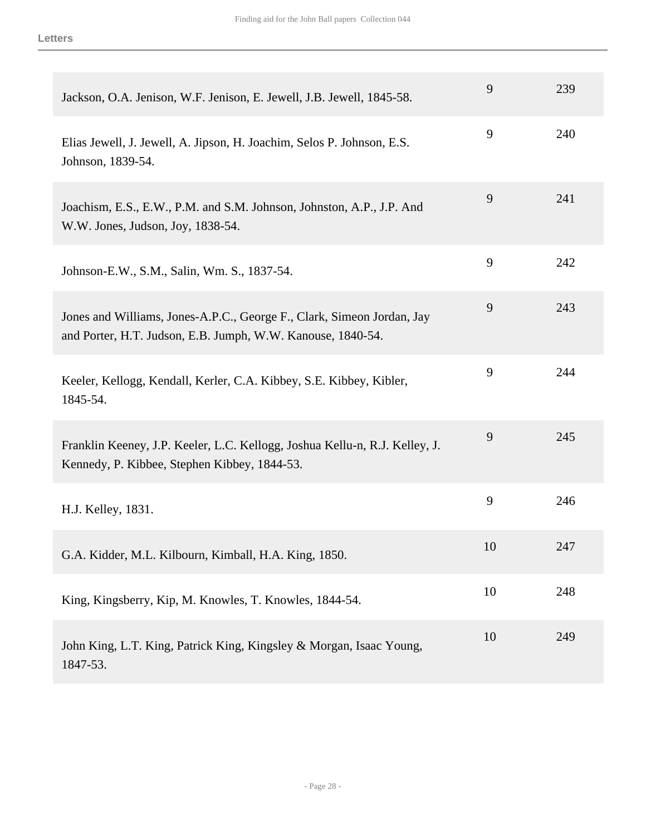| Jackson, O.A. Jenison, W.F. Jenison, E. Jewell, J.B. Jewell, 1845-58.                                                                 | 9  | 239 |
|---------------------------------------------------------------------------------------------------------------------------------------|----|-----|
| Elias Jewell, J. Jewell, A. Jipson, H. Joachim, Selos P. Johnson, E.S.<br>Johnson, 1839-54.                                           | 9  | 240 |
| Joachism, E.S., E.W., P.M. and S.M. Johnson, Johnston, A.P., J.P. And<br>W.W. Jones, Judson, Joy, 1838-54.                            | 9  | 241 |
| Johnson-E.W., S.M., Salin, Wm. S., 1837-54.                                                                                           | 9  | 242 |
| Jones and Williams, Jones-A.P.C., George F., Clark, Simeon Jordan, Jay<br>and Porter, H.T. Judson, E.B. Jumph, W.W. Kanouse, 1840-54. | 9  | 243 |
| Keeler, Kellogg, Kendall, Kerler, C.A. Kibbey, S.E. Kibbey, Kibler,<br>1845-54.                                                       | 9  | 244 |
| Franklin Keeney, J.P. Keeler, L.C. Kellogg, Joshua Kellu-n, R.J. Kelley, J.<br>Kennedy, P. Kibbee, Stephen Kibbey, 1844-53.           | 9  | 245 |
| H.J. Kelley, 1831.                                                                                                                    | 9  | 246 |
| G.A. Kidder, M.L. Kilbourn, Kimball, H.A. King, 1850.                                                                                 | 10 | 247 |
| King, Kingsberry, Kip, M. Knowles, T. Knowles, 1844-54.                                                                               | 10 | 248 |
| John King, L.T. King, Patrick King, Kingsley & Morgan, Isaac Young,<br>1847-53.                                                       | 10 | 249 |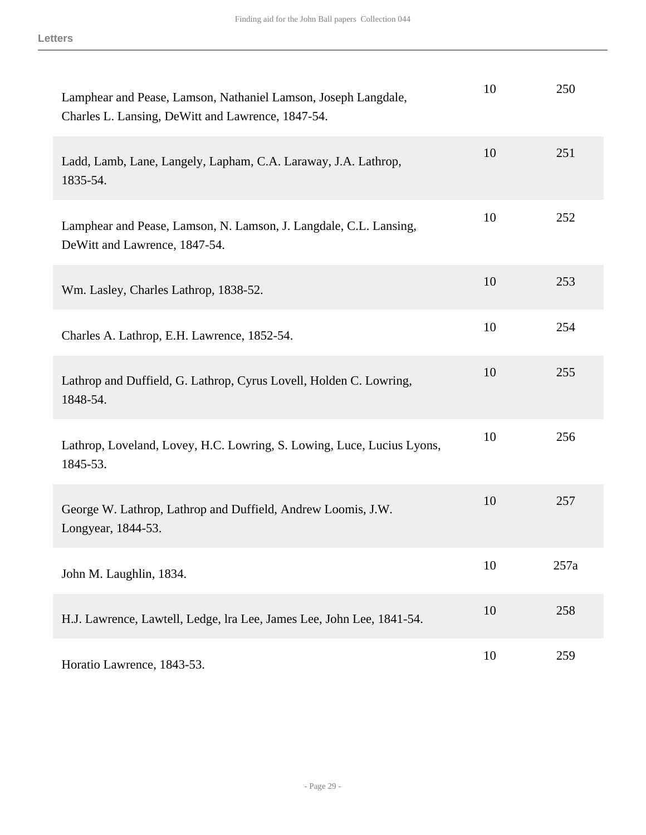| Lamphear and Pease, Lamson, Nathaniel Lamson, Joseph Langdale,<br>Charles L. Lansing, DeWitt and Lawrence, 1847-54. | 10 | 250  |
|---------------------------------------------------------------------------------------------------------------------|----|------|
| Ladd, Lamb, Lane, Langely, Lapham, C.A. Laraway, J.A. Lathrop,<br>1835-54.                                          | 10 | 251  |
| Lamphear and Pease, Lamson, N. Lamson, J. Langdale, C.L. Lansing,<br>DeWitt and Lawrence, 1847-54.                  | 10 | 252  |
| Wm. Lasley, Charles Lathrop, 1838-52.                                                                               | 10 | 253  |
| Charles A. Lathrop, E.H. Lawrence, 1852-54.                                                                         | 10 | 254  |
| Lathrop and Duffield, G. Lathrop, Cyrus Lovell, Holden C. Lowring,<br>1848-54.                                      | 10 | 255  |
| Lathrop, Loveland, Lovey, H.C. Lowring, S. Lowing, Luce, Lucius Lyons,<br>1845-53.                                  | 10 | 256  |
| George W. Lathrop, Lathrop and Duffield, Andrew Loomis, J.W.<br>Longyear, 1844-53.                                  | 10 | 257  |
| John M. Laughlin, 1834.                                                                                             | 10 | 257a |
| H.J. Lawrence, Lawtell, Ledge, lra Lee, James Lee, John Lee, 1841-54.                                               | 10 | 258  |
| Horatio Lawrence, 1843-53.                                                                                          | 10 | 259  |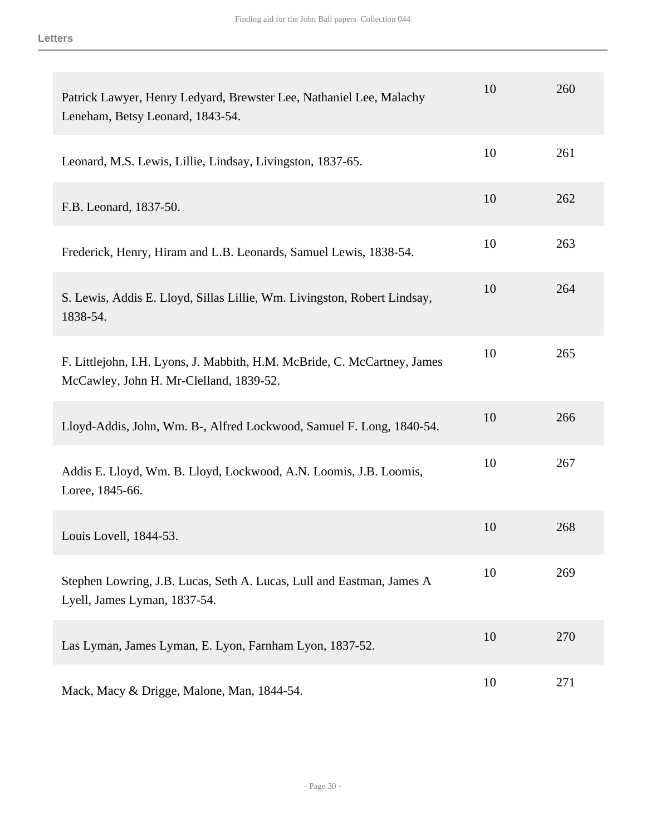| Patrick Lawyer, Henry Ledyard, Brewster Lee, Nathaniel Lee, Malachy<br>Leneham, Betsy Leonard, 1843-54.             | 10 | 260 |
|---------------------------------------------------------------------------------------------------------------------|----|-----|
| Leonard, M.S. Lewis, Lillie, Lindsay, Livingston, 1837-65.                                                          | 10 | 261 |
| F.B. Leonard, 1837-50.                                                                                              | 10 | 262 |
| Frederick, Henry, Hiram and L.B. Leonards, Samuel Lewis, 1838-54.                                                   | 10 | 263 |
| S. Lewis, Addis E. Lloyd, Sillas Lillie, Wm. Livingston, Robert Lindsay,<br>1838-54.                                | 10 | 264 |
| F. Littlejohn, I.H. Lyons, J. Mabbith, H.M. McBride, C. McCartney, James<br>McCawley, John H. Mr-Clelland, 1839-52. | 10 | 265 |
| Lloyd-Addis, John, Wm. B-, Alfred Lockwood, Samuel F. Long, 1840-54.                                                | 10 | 266 |
| Addis E. Lloyd, Wm. B. Lloyd, Lockwood, A.N. Loomis, J.B. Loomis,<br>Loree, 1845-66.                                | 10 | 267 |
| Louis Lovell, 1844-53.                                                                                              | 10 | 268 |
| Stephen Lowring, J.B. Lucas, Seth A. Lucas, Lull and Eastman, James A<br>Lyell, James Lyman, 1837-54.               | 10 | 269 |
| Las Lyman, James Lyman, E. Lyon, Farnham Lyon, 1837-52.                                                             | 10 | 270 |
| Mack, Macy & Drigge, Malone, Man, 1844-54.                                                                          | 10 | 271 |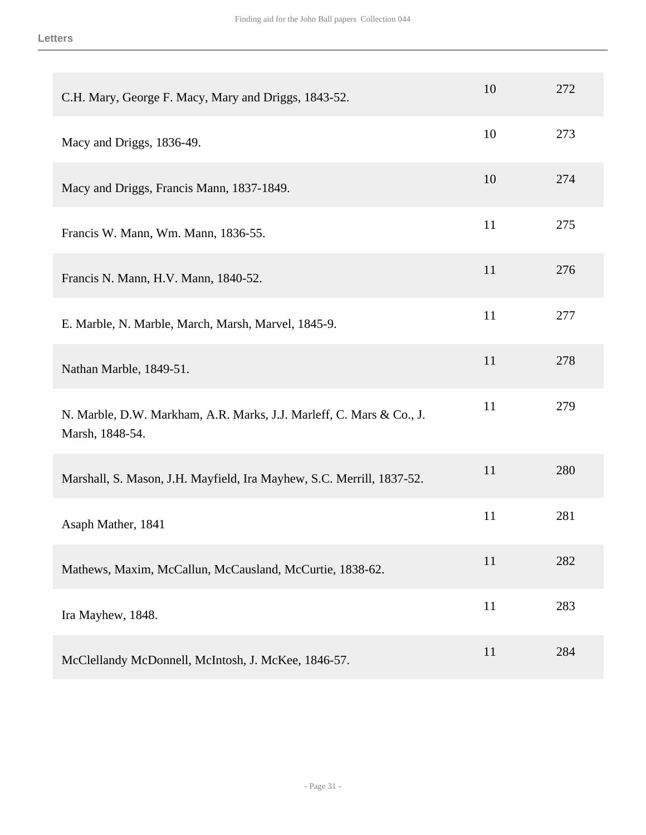| C.H. Mary, George F. Macy, Mary and Driggs, 1843-52.                                    | 10 | 272 |
|-----------------------------------------------------------------------------------------|----|-----|
| Macy and Driggs, 1836-49.                                                               | 10 | 273 |
| Macy and Driggs, Francis Mann, 1837-1849.                                               | 10 | 274 |
| Francis W. Mann, Wm. Mann, 1836-55.                                                     | 11 | 275 |
| Francis N. Mann, H.V. Mann, 1840-52.                                                    | 11 | 276 |
| E. Marble, N. Marble, March, Marsh, Marvel, 1845-9.                                     | 11 | 277 |
| Nathan Marble, 1849-51.                                                                 | 11 | 278 |
| N. Marble, D.W. Markham, A.R. Marks, J.J. Marleff, C. Mars & Co., J.<br>Marsh, 1848-54. | 11 | 279 |
| Marshall, S. Mason, J.H. Mayfield, Ira Mayhew, S.C. Merrill, 1837-52.                   | 11 | 280 |
| Asaph Mather, 1841                                                                      | 11 | 281 |
| Mathews, Maxim, McCallun, McCausland, McCurtie, 1838-62.                                | 11 | 282 |
| Ira Mayhew, 1848.                                                                       | 11 | 283 |
| McClellandy McDonnell, McIntosh, J. McKee, 1846-57.                                     | 11 | 284 |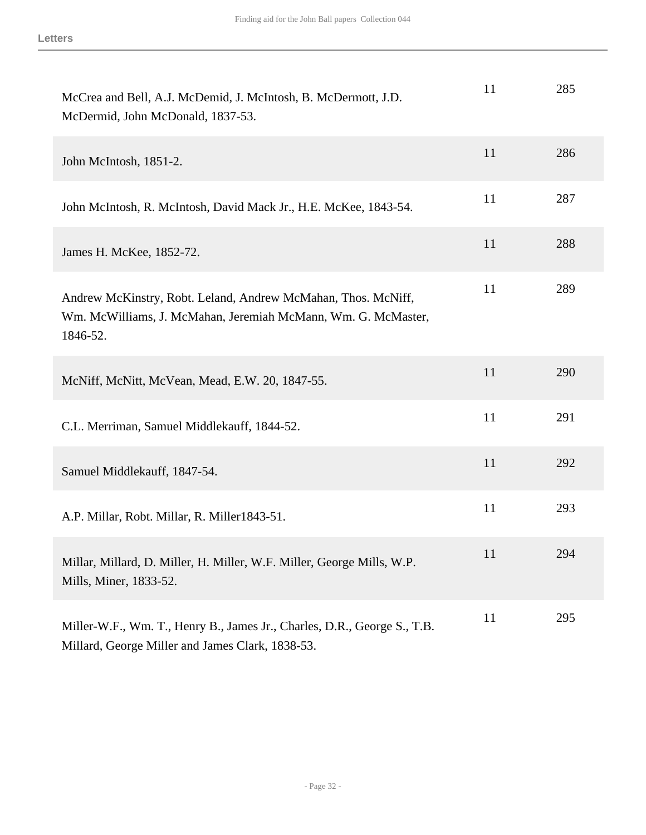| McCrea and Bell, A.J. McDemid, J. McIntosh, B. McDermott, J.D.<br>McDermid, John McDonald, 1837-53.                                        | 11 | 285 |
|--------------------------------------------------------------------------------------------------------------------------------------------|----|-----|
| John McIntosh, 1851-2.                                                                                                                     | 11 | 286 |
| John McIntosh, R. McIntosh, David Mack Jr., H.E. McKee, 1843-54.                                                                           | 11 | 287 |
| James H. McKee, 1852-72.                                                                                                                   | 11 | 288 |
| Andrew McKinstry, Robt. Leland, Andrew McMahan, Thos. McNiff,<br>Wm. McWilliams, J. McMahan, Jeremiah McMann, Wm. G. McMaster,<br>1846-52. | 11 | 289 |
| McNiff, McNitt, McVean, Mead, E.W. 20, 1847-55.                                                                                            | 11 | 290 |
| C.L. Merriman, Samuel Middlekauff, 1844-52.                                                                                                | 11 | 291 |
| Samuel Middlekauff, 1847-54.                                                                                                               | 11 | 292 |
| A.P. Millar, Robt. Millar, R. Miller1843-51.                                                                                               | 11 | 293 |
| Millar, Millard, D. Miller, H. Miller, W.F. Miller, George Mills, W.P.<br>Mills, Miner, 1833-52.                                           | 11 | 294 |
| Miller-W.F., Wm. T., Henry B., James Jr., Charles, D.R., George S., T.B.<br>Millard, George Miller and James Clark, 1838-53.               | 11 | 295 |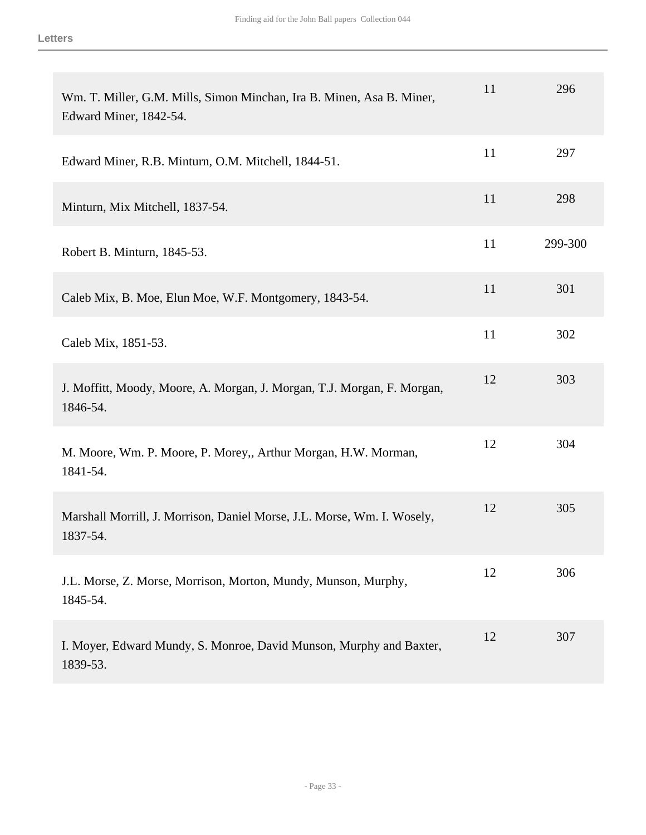| Wm. T. Miller, G.M. Mills, Simon Minchan, Ira B. Minen, Asa B. Miner,<br>Edward Miner, 1842-54. | 11 | 296     |
|-------------------------------------------------------------------------------------------------|----|---------|
| Edward Miner, R.B. Minturn, O.M. Mitchell, 1844-51.                                             | 11 | 297     |
| Minturn, Mix Mitchell, 1837-54.                                                                 | 11 | 298     |
| Robert B. Minturn, 1845-53.                                                                     | 11 | 299-300 |
| Caleb Mix, B. Moe, Elun Moe, W.F. Montgomery, 1843-54.                                          | 11 | 301     |
| Caleb Mix, 1851-53.                                                                             | 11 | 302     |
| J. Moffitt, Moody, Moore, A. Morgan, J. Morgan, T.J. Morgan, F. Morgan,<br>1846-54.             | 12 | 303     |
| M. Moore, Wm. P. Moore, P. Morey,, Arthur Morgan, H.W. Morman,<br>1841-54.                      | 12 | 304     |
| Marshall Morrill, J. Morrison, Daniel Morse, J.L. Morse, Wm. I. Wosely,<br>1837-54.             | 12 | 305     |
| J.L. Morse, Z. Morse, Morrison, Morton, Mundy, Munson, Murphy,<br>1845-54.                      | 12 | 306     |
| I. Moyer, Edward Mundy, S. Monroe, David Munson, Murphy and Baxter,<br>1839-53.                 | 12 | 307     |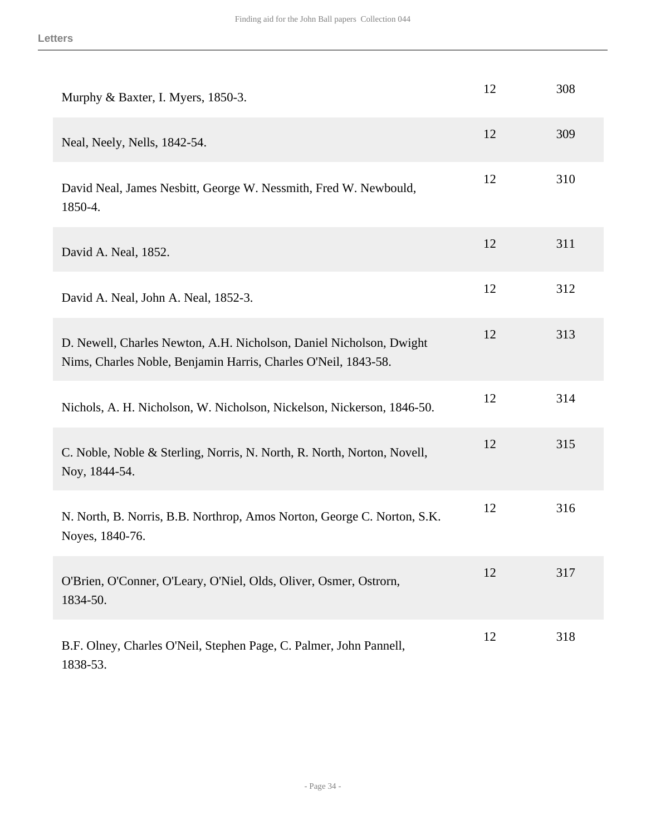| Murphy & Baxter, I. Myers, 1850-3.                                                                                                    | 12 | 308 |
|---------------------------------------------------------------------------------------------------------------------------------------|----|-----|
| Neal, Neely, Nells, 1842-54.                                                                                                          | 12 | 309 |
| David Neal, James Nesbitt, George W. Nessmith, Fred W. Newbould,<br>1850-4.                                                           | 12 | 310 |
| David A. Neal, 1852.                                                                                                                  | 12 | 311 |
| David A. Neal, John A. Neal, 1852-3.                                                                                                  | 12 | 312 |
| D. Newell, Charles Newton, A.H. Nicholson, Daniel Nicholson, Dwight<br>Nims, Charles Noble, Benjamin Harris, Charles O'Neil, 1843-58. | 12 | 313 |
| Nichols, A. H. Nicholson, W. Nicholson, Nickelson, Nickerson, 1846-50.                                                                | 12 | 314 |
| C. Noble, Noble & Sterling, Norris, N. North, R. North, Norton, Novell,<br>Noy, 1844-54.                                              | 12 | 315 |
| N. North, B. Norris, B.B. Northrop, Amos Norton, George C. Norton, S.K.<br>Noyes, 1840-76.                                            | 12 | 316 |
| O'Brien, O'Conner, O'Leary, O'Niel, Olds, Oliver, Osmer, Ostrorn,<br>1834-50.                                                         | 12 | 317 |
| B.F. Olney, Charles O'Neil, Stephen Page, C. Palmer, John Pannell,<br>1838-53.                                                        | 12 | 318 |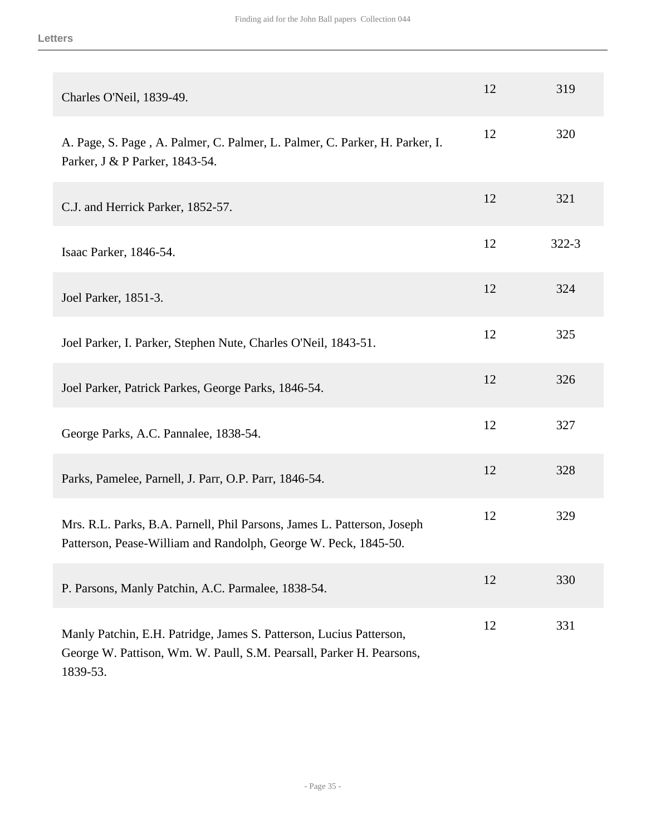| Charles O'Neil, 1839-49.                                                                                                                                | 12 | 319       |
|---------------------------------------------------------------------------------------------------------------------------------------------------------|----|-----------|
| A. Page, S. Page, A. Palmer, C. Palmer, L. Palmer, C. Parker, H. Parker, I.<br>Parker, J & P Parker, 1843-54.                                           | 12 | 320       |
| C.J. and Herrick Parker, 1852-57.                                                                                                                       | 12 | 321       |
| Isaac Parker, 1846-54.                                                                                                                                  | 12 | $322 - 3$ |
| Joel Parker, 1851-3.                                                                                                                                    | 12 | 324       |
| Joel Parker, I. Parker, Stephen Nute, Charles O'Neil, 1843-51.                                                                                          | 12 | 325       |
| Joel Parker, Patrick Parkes, George Parks, 1846-54.                                                                                                     | 12 | 326       |
| George Parks, A.C. Pannalee, 1838-54.                                                                                                                   | 12 | 327       |
| Parks, Pamelee, Parnell, J. Parr, O.P. Parr, 1846-54.                                                                                                   | 12 | 328       |
| Mrs. R.L. Parks, B.A. Parnell, Phil Parsons, James L. Patterson, Joseph<br>Patterson, Pease-William and Randolph, George W. Peck, 1845-50.              | 12 | 329       |
| P. Parsons, Manly Patchin, A.C. Parmalee, 1838-54.                                                                                                      | 12 | 330       |
| Manly Patchin, E.H. Patridge, James S. Patterson, Lucius Patterson,<br>George W. Pattison, Wm. W. Paull, S.M. Pearsall, Parker H. Pearsons,<br>1839-53. | 12 | 331       |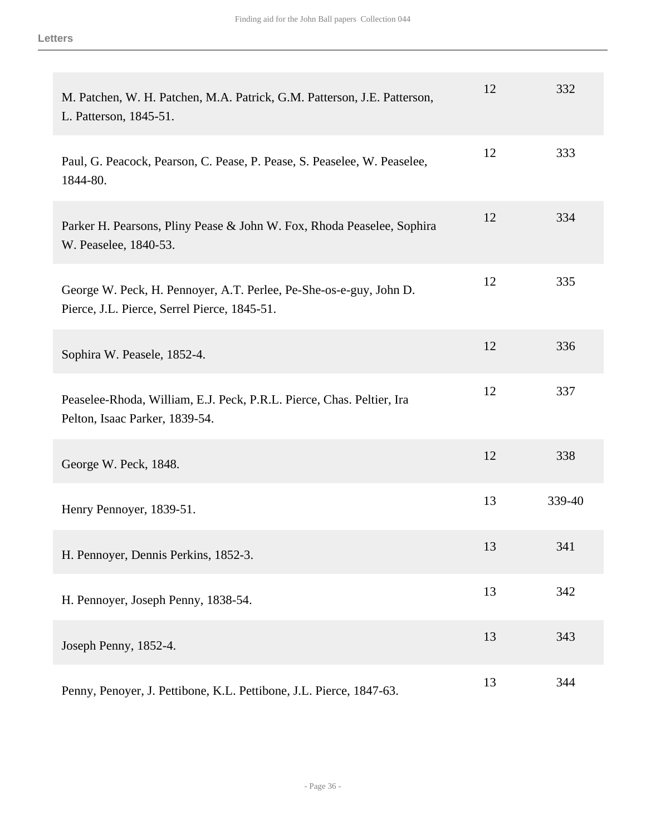| M. Patchen, W. H. Patchen, M.A. Patrick, G.M. Patterson, J.E. Patterson,<br>L. Patterson, 1845-51.                 | 12 | 332    |
|--------------------------------------------------------------------------------------------------------------------|----|--------|
| Paul, G. Peacock, Pearson, C. Pease, P. Pease, S. Peaselee, W. Peaselee,<br>1844-80.                               | 12 | 333    |
| Parker H. Pearsons, Pliny Pease & John W. Fox, Rhoda Peaselee, Sophira<br>W. Peaselee, 1840-53.                    | 12 | 334    |
| George W. Peck, H. Pennoyer, A.T. Perlee, Pe-She-os-e-guy, John D.<br>Pierce, J.L. Pierce, Serrel Pierce, 1845-51. | 12 | 335    |
| Sophira W. Peasele, 1852-4.                                                                                        | 12 | 336    |
| Peaselee-Rhoda, William, E.J. Peck, P.R.L. Pierce, Chas. Peltier, Ira<br>Pelton, Isaac Parker, 1839-54.            | 12 | 337    |
| George W. Peck, 1848.                                                                                              | 12 | 338    |
| Henry Pennoyer, 1839-51.                                                                                           | 13 | 339-40 |
| H. Pennoyer, Dennis Perkins, 1852-3.                                                                               | 13 | 341    |
| H. Pennoyer, Joseph Penny, 1838-54.                                                                                | 13 | 342    |
| Joseph Penny, 1852-4.                                                                                              | 13 | 343    |
| Penny, Penoyer, J. Pettibone, K.L. Pettibone, J.L. Pierce, 1847-63.                                                | 13 | 344    |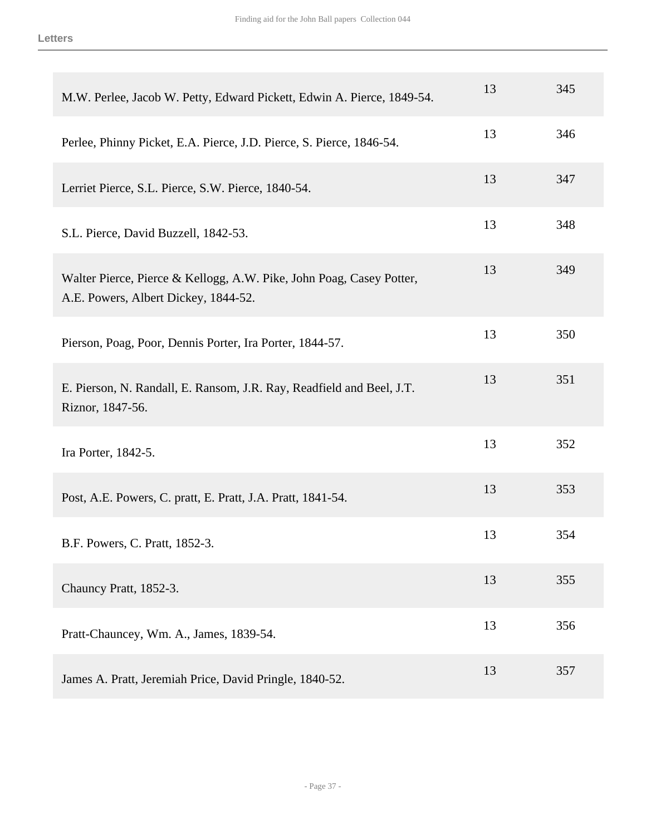| M.W. Perlee, Jacob W. Petty, Edward Pickett, Edwin A. Pierce, 1849-54.                                       | 13 | 345 |
|--------------------------------------------------------------------------------------------------------------|----|-----|
| Perlee, Phinny Picket, E.A. Pierce, J.D. Pierce, S. Pierce, 1846-54.                                         | 13 | 346 |
| Lerriet Pierce, S.L. Pierce, S.W. Pierce, 1840-54.                                                           | 13 | 347 |
| S.L. Pierce, David Buzzell, 1842-53.                                                                         | 13 | 348 |
| Walter Pierce, Pierce & Kellogg, A.W. Pike, John Poag, Casey Potter,<br>A.E. Powers, Albert Dickey, 1844-52. | 13 | 349 |
| Pierson, Poag, Poor, Dennis Porter, Ira Porter, 1844-57.                                                     | 13 | 350 |
| E. Pierson, N. Randall, E. Ransom, J.R. Ray, Readfield and Beel, J.T.<br>Riznor, 1847-56.                    | 13 | 351 |
| Ira Porter, 1842-5.                                                                                          | 13 | 352 |
| Post, A.E. Powers, C. pratt, E. Pratt, J.A. Pratt, 1841-54.                                                  | 13 | 353 |
| B.F. Powers, C. Pratt, 1852-3.                                                                               | 13 | 354 |
| Chauncy Pratt, 1852-3.                                                                                       | 13 | 355 |
| Pratt-Chauncey, Wm. A., James, 1839-54.                                                                      | 13 | 356 |
| James A. Pratt, Jeremiah Price, David Pringle, 1840-52.                                                      | 13 | 357 |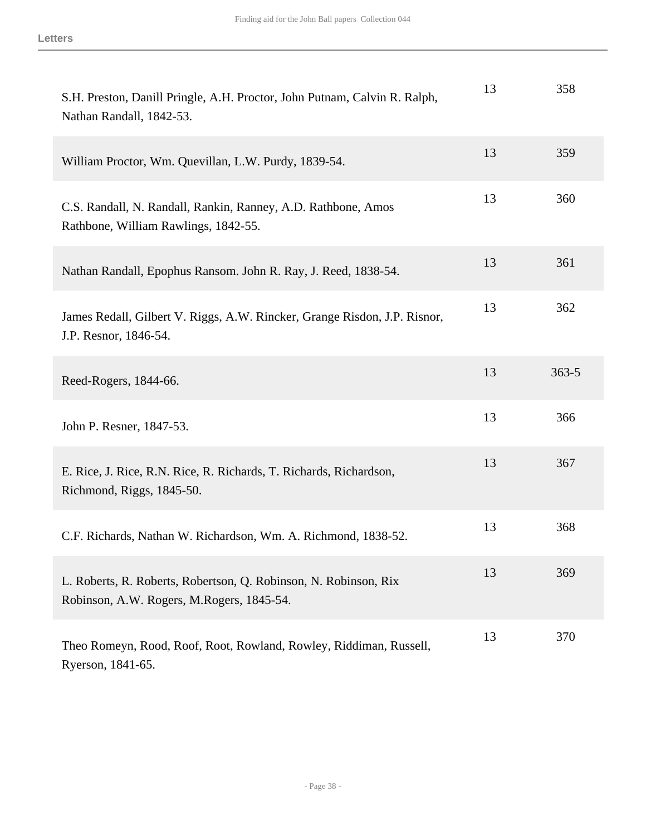| S.H. Preston, Danill Pringle, A.H. Proctor, John Putnam, Calvin R. Ralph,<br>Nathan Randall, 1842-53.         | 13 | 358       |
|---------------------------------------------------------------------------------------------------------------|----|-----------|
| William Proctor, Wm. Quevillan, L.W. Purdy, 1839-54.                                                          | 13 | 359       |
| C.S. Randall, N. Randall, Rankin, Ranney, A.D. Rathbone, Amos<br>Rathbone, William Rawlings, 1842-55.         | 13 | 360       |
| Nathan Randall, Epophus Ransom. John R. Ray, J. Reed, 1838-54.                                                | 13 | 361       |
| James Redall, Gilbert V. Riggs, A.W. Rincker, Grange Risdon, J.P. Risnor,<br>J.P. Resnor, 1846-54.            | 13 | 362       |
| Reed-Rogers, 1844-66.                                                                                         | 13 | $363 - 5$ |
| John P. Resner, 1847-53.                                                                                      | 13 | 366       |
| E. Rice, J. Rice, R.N. Rice, R. Richards, T. Richards, Richardson,<br>Richmond, Riggs, 1845-50.               | 13 | 367       |
| C.F. Richards, Nathan W. Richardson, Wm. A. Richmond, 1838-52.                                                | 13 | 368       |
| L. Roberts, R. Roberts, Robertson, Q. Robinson, N. Robinson, Rix<br>Robinson, A.W. Rogers, M.Rogers, 1845-54. | 13 | 369       |
| Theo Romeyn, Rood, Roof, Root, Rowland, Rowley, Riddiman, Russell,<br>Ryerson, 1841-65.                       | 13 | 370       |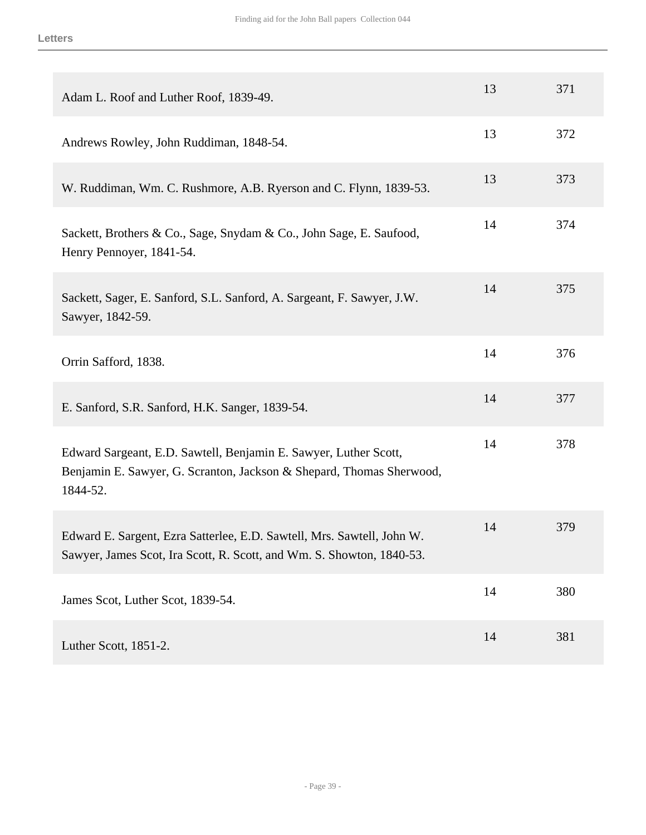| Adam L. Roof and Luther Roof, 1839-49.                                                                                                               | 13 | 371 |
|------------------------------------------------------------------------------------------------------------------------------------------------------|----|-----|
| Andrews Rowley, John Ruddiman, 1848-54.                                                                                                              | 13 | 372 |
| W. Ruddiman, Wm. C. Rushmore, A.B. Ryerson and C. Flynn, 1839-53.                                                                                    | 13 | 373 |
| Sackett, Brothers & Co., Sage, Snydam & Co., John Sage, E. Saufood,<br>Henry Pennoyer, 1841-54.                                                      | 14 | 374 |
| Sackett, Sager, E. Sanford, S.L. Sanford, A. Sargeant, F. Sawyer, J.W.<br>Sawyer, 1842-59.                                                           | 14 | 375 |
| Orrin Safford, 1838.                                                                                                                                 | 14 | 376 |
| E. Sanford, S.R. Sanford, H.K. Sanger, 1839-54.                                                                                                      | 14 | 377 |
| Edward Sargeant, E.D. Sawtell, Benjamin E. Sawyer, Luther Scott,<br>Benjamin E. Sawyer, G. Scranton, Jackson & Shepard, Thomas Sherwood,<br>1844-52. | 14 | 378 |
| Edward E. Sargent, Ezra Satterlee, E.D. Sawtell, Mrs. Sawtell, John W.<br>Sawyer, James Scot, Ira Scott, R. Scott, and Wm. S. Showton, 1840-53.      | 14 | 379 |
| James Scot, Luther Scot, 1839-54.                                                                                                                    | 14 | 380 |
| Luther Scott, 1851-2.                                                                                                                                | 14 | 381 |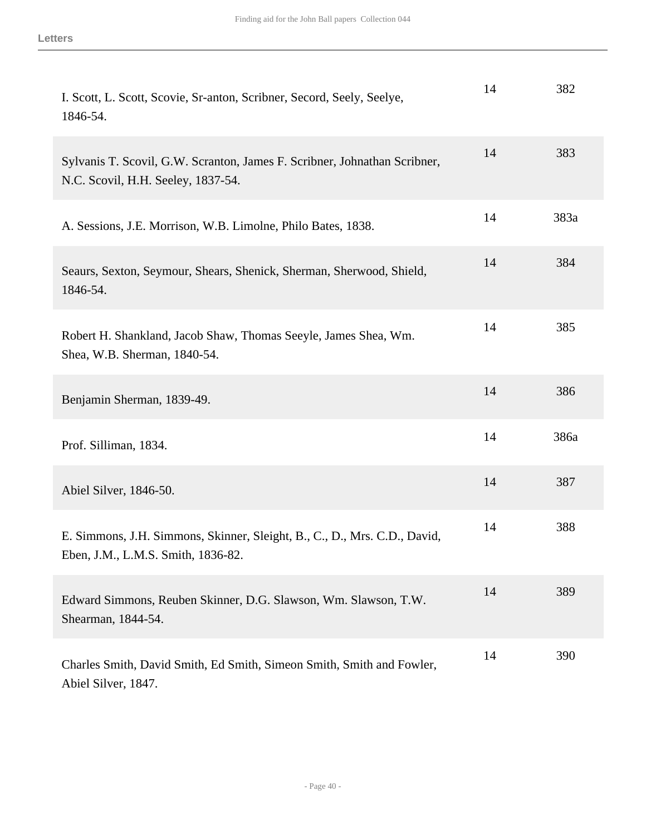| I. Scott, L. Scott, Scovie, Sr-anton, Scribner, Secord, Seely, Seelye,<br>1846-54.                              | 14 | 382  |
|-----------------------------------------------------------------------------------------------------------------|----|------|
| Sylvanis T. Scovil, G.W. Scranton, James F. Scribner, Johnathan Scribner,<br>N.C. Scovil, H.H. Seeley, 1837-54. | 14 | 383  |
| A. Sessions, J.E. Morrison, W.B. Limolne, Philo Bates, 1838.                                                    | 14 | 383a |
| Seaurs, Sexton, Seymour, Shears, Shenick, Sherman, Sherwood, Shield,<br>1846-54.                                | 14 | 384  |
| Robert H. Shankland, Jacob Shaw, Thomas Seeyle, James Shea, Wm.<br>Shea, W.B. Sherman, 1840-54.                 | 14 | 385  |
| Benjamin Sherman, 1839-49.                                                                                      | 14 | 386  |
| Prof. Silliman, 1834.                                                                                           | 14 | 386a |
| Abiel Silver, 1846-50.                                                                                          | 14 | 387  |
| E. Simmons, J.H. Simmons, Skinner, Sleight, B., C., D., Mrs. C.D., David,<br>Eben, J.M., L.M.S. Smith, 1836-82. | 14 | 388  |
| Edward Simmons, Reuben Skinner, D.G. Slawson, Wm. Slawson, T.W.<br>Shearman, 1844-54.                           | 14 | 389  |
| Charles Smith, David Smith, Ed Smith, Simeon Smith, Smith and Fowler,<br>Abiel Silver, 1847.                    | 14 | 390  |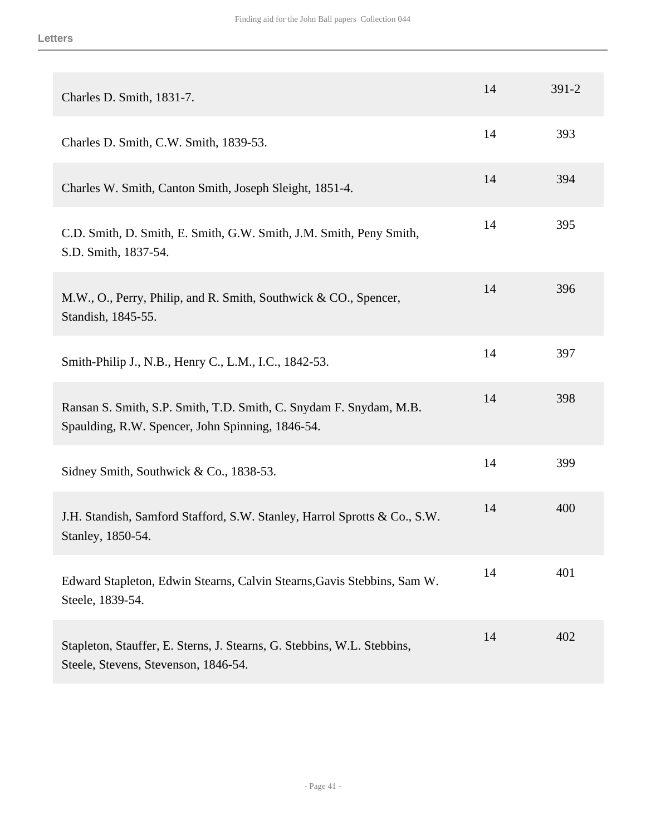| Charles D. Smith, 1831-7.                                                                                              | 14 | $391 - 2$ |
|------------------------------------------------------------------------------------------------------------------------|----|-----------|
| Charles D. Smith, C.W. Smith, 1839-53.                                                                                 | 14 | 393       |
| Charles W. Smith, Canton Smith, Joseph Sleight, 1851-4.                                                                | 14 | 394       |
| C.D. Smith, D. Smith, E. Smith, G.W. Smith, J.M. Smith, Peny Smith,<br>S.D. Smith, 1837-54.                            | 14 | 395       |
| M.W., O., Perry, Philip, and R. Smith, Southwick & CO., Spencer,<br>Standish, 1845-55.                                 | 14 | 396       |
| Smith-Philip J., N.B., Henry C., L.M., I.C., 1842-53.                                                                  | 14 | 397       |
| Ransan S. Smith, S.P. Smith, T.D. Smith, C. Snydam F. Snydam, M.B.<br>Spaulding, R.W. Spencer, John Spinning, 1846-54. | 14 | 398       |
| Sidney Smith, Southwick & Co., 1838-53.                                                                                | 14 | 399       |
| J.H. Standish, Samford Stafford, S.W. Stanley, Harrol Sprotts & Co., S.W.<br>Stanley, 1850-54.                         | 14 | 400       |
| Edward Stapleton, Edwin Stearns, Calvin Stearns, Gavis Stebbins, Sam W.<br>Steele, 1839-54.                            | 14 | 401       |
| Stapleton, Stauffer, E. Sterns, J. Stearns, G. Stebbins, W.L. Stebbins,<br>Steele, Stevens, Stevenson, 1846-54.        | 14 | 402       |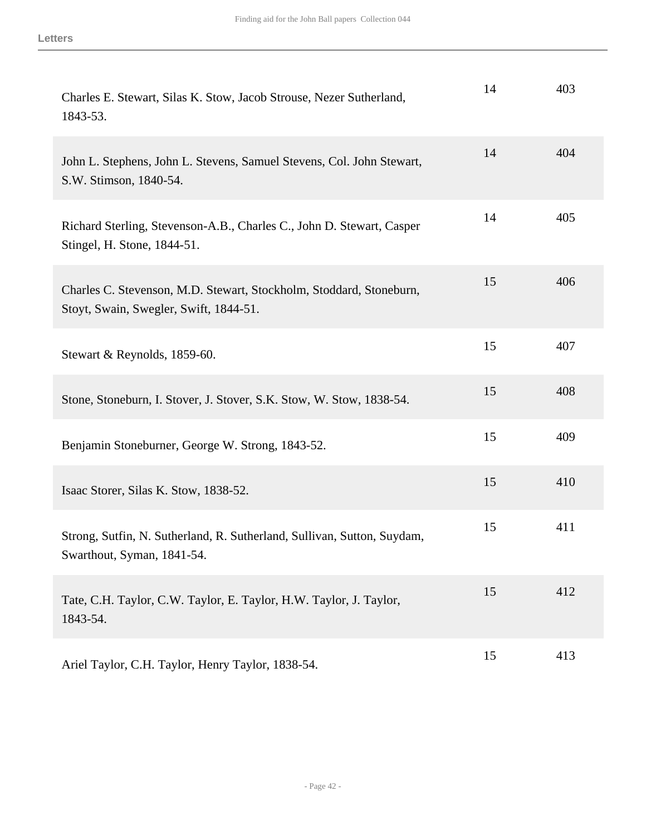| Charles E. Stewart, Silas K. Stow, Jacob Strouse, Nezer Sutherland,<br>1843-53.                               | 14 | 403 |
|---------------------------------------------------------------------------------------------------------------|----|-----|
| John L. Stephens, John L. Stevens, Samuel Stevens, Col. John Stewart,<br>S.W. Stimson, 1840-54.               | 14 | 404 |
| Richard Sterling, Stevenson-A.B., Charles C., John D. Stewart, Casper<br>Stingel, H. Stone, 1844-51.          | 14 | 405 |
| Charles C. Stevenson, M.D. Stewart, Stockholm, Stoddard, Stoneburn,<br>Stoyt, Swain, Swegler, Swift, 1844-51. | 15 | 406 |
| Stewart & Reynolds, 1859-60.                                                                                  | 15 | 407 |
| Stone, Stoneburn, I. Stover, J. Stover, S.K. Stow, W. Stow, 1838-54.                                          | 15 | 408 |
| Benjamin Stoneburner, George W. Strong, 1843-52.                                                              | 15 | 409 |
| Isaac Storer, Silas K. Stow, 1838-52.                                                                         | 15 | 410 |
| Strong, Sutfin, N. Sutherland, R. Sutherland, Sullivan, Sutton, Suydam,<br>Swarthout, Syman, 1841-54.         | 15 | 411 |
| Tate, C.H. Taylor, C.W. Taylor, E. Taylor, H.W. Taylor, J. Taylor,<br>1843-54.                                | 15 | 412 |
| Ariel Taylor, C.H. Taylor, Henry Taylor, 1838-54.                                                             | 15 | 413 |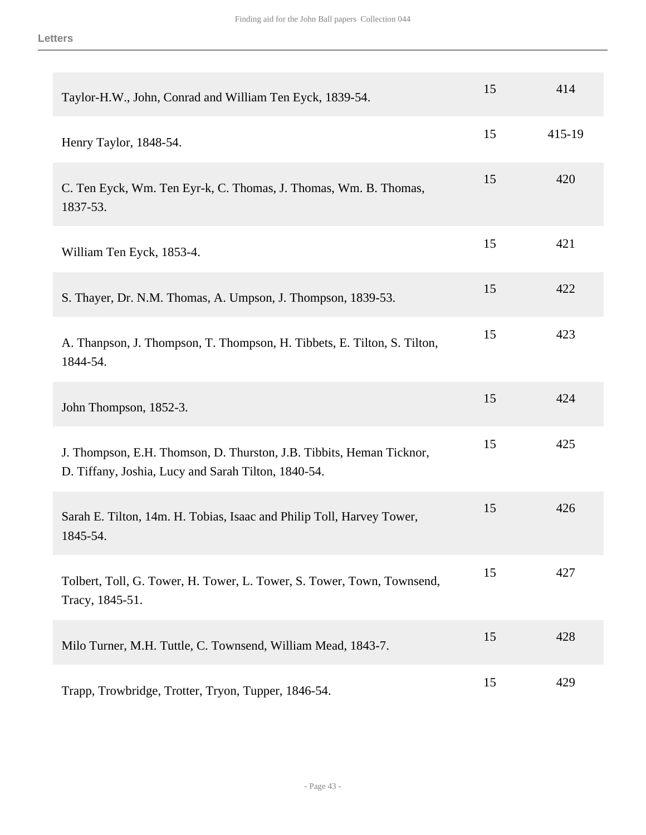| Taylor-H.W., John, Conrad and William Ten Eyck, 1839-54.                                                                    | 15 | 414    |
|-----------------------------------------------------------------------------------------------------------------------------|----|--------|
| Henry Taylor, 1848-54.                                                                                                      | 15 | 415-19 |
| C. Ten Eyck, Wm. Ten Eyr-k, C. Thomas, J. Thomas, Wm. B. Thomas,<br>1837-53.                                                | 15 | 420    |
| William Ten Eyck, 1853-4.                                                                                                   | 15 | 421    |
| S. Thayer, Dr. N.M. Thomas, A. Umpson, J. Thompson, 1839-53.                                                                | 15 | 422    |
| A. Thanpson, J. Thompson, T. Thompson, H. Tibbets, E. Tilton, S. Tilton,<br>1844-54.                                        | 15 | 423    |
| John Thompson, 1852-3.                                                                                                      | 15 | 424    |
| J. Thompson, E.H. Thomson, D. Thurston, J.B. Tibbits, Heman Ticknor,<br>D. Tiffany, Joshia, Lucy and Sarah Tilton, 1840-54. | 15 | 425    |
| Sarah E. Tilton, 14m. H. Tobias, Isaac and Philip Toll, Harvey Tower,<br>1845-54.                                           | 15 | 426    |
| Tolbert, Toll, G. Tower, H. Tower, L. Tower, S. Tower, Town, Townsend,<br>Tracy, 1845-51.                                   | 15 | 427    |
| Milo Turner, M.H. Tuttle, C. Townsend, William Mead, 1843-7.                                                                | 15 | 428    |
| Trapp, Trowbridge, Trotter, Tryon, Tupper, 1846-54.                                                                         | 15 | 429    |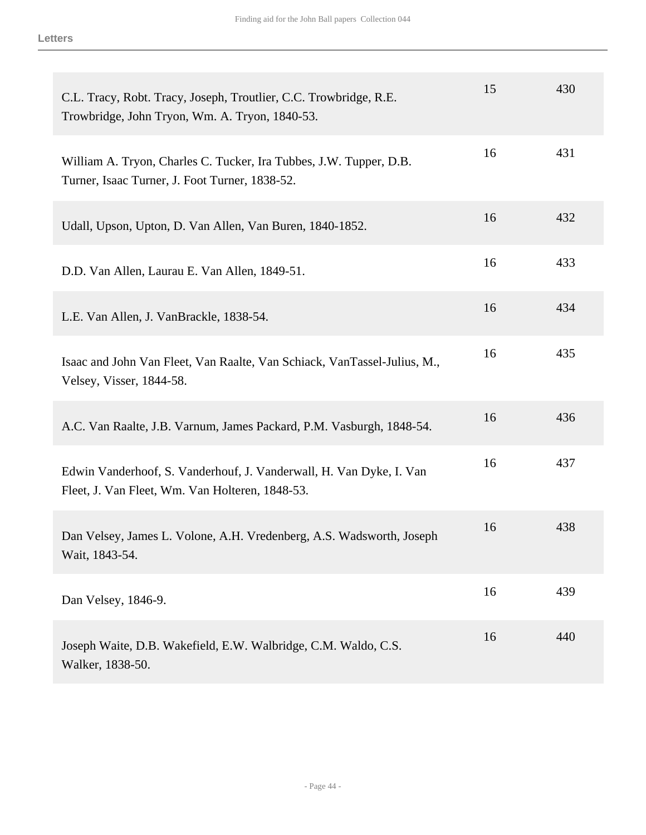| C.L. Tracy, Robt. Tracy, Joseph, Troutlier, C.C. Trowbridge, R.E.<br>Trowbridge, John Tryon, Wm. A. Tryon, 1840-53.    | 15 | 430 |
|------------------------------------------------------------------------------------------------------------------------|----|-----|
| William A. Tryon, Charles C. Tucker, Ira Tubbes, J.W. Tupper, D.B.<br>Turner, Isaac Turner, J. Foot Turner, 1838-52.   | 16 | 431 |
| Udall, Upson, Upton, D. Van Allen, Van Buren, 1840-1852.                                                               | 16 | 432 |
| D.D. Van Allen, Laurau E. Van Allen, 1849-51.                                                                          | 16 | 433 |
| L.E. Van Allen, J. VanBrackle, 1838-54.                                                                                | 16 | 434 |
| Isaac and John Van Fleet, Van Raalte, Van Schiack, VanTassel-Julius, M.,<br>Velsey, Visser, 1844-58.                   | 16 | 435 |
| A.C. Van Raalte, J.B. Varnum, James Packard, P.M. Vasburgh, 1848-54.                                                   | 16 | 436 |
| Edwin Vanderhoof, S. Vanderhouf, J. Vanderwall, H. Van Dyke, I. Van<br>Fleet, J. Van Fleet, Wm. Van Holteren, 1848-53. | 16 | 437 |
| Dan Velsey, James L. Volone, A.H. Vredenberg, A.S. Wadsworth, Joseph<br>Wait, 1843-54.                                 | 16 | 438 |
| Dan Velsey, 1846-9.                                                                                                    | 16 | 439 |
| Joseph Waite, D.B. Wakefield, E.W. Walbridge, C.M. Waldo, C.S.<br>Walker, 1838-50.                                     | 16 | 440 |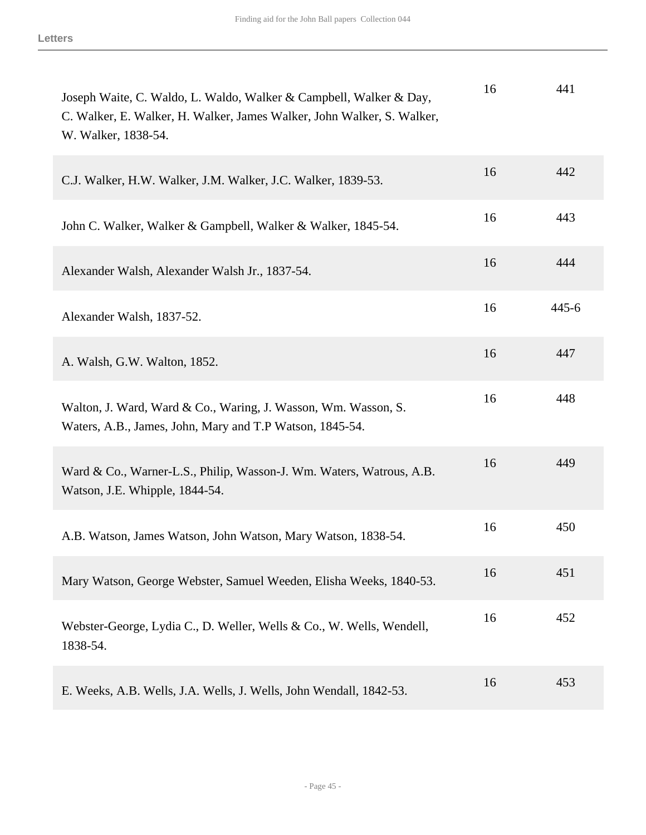| Joseph Waite, C. Waldo, L. Waldo, Walker & Campbell, Walker & Day,<br>C. Walker, E. Walker, H. Walker, James Walker, John Walker, S. Walker,<br>W. Walker, 1838-54. | 16 | 441       |
|---------------------------------------------------------------------------------------------------------------------------------------------------------------------|----|-----------|
| C.J. Walker, H.W. Walker, J.M. Walker, J.C. Walker, 1839-53.                                                                                                        | 16 | 442       |
| John C. Walker, Walker & Gampbell, Walker & Walker, 1845-54.                                                                                                        | 16 | 443       |
| Alexander Walsh, Alexander Walsh Jr., 1837-54.                                                                                                                      | 16 | 444       |
| Alexander Walsh, 1837-52.                                                                                                                                           | 16 | $445 - 6$ |
| A. Walsh, G.W. Walton, 1852.                                                                                                                                        | 16 | 447       |
| Walton, J. Ward, Ward & Co., Waring, J. Wasson, Wm. Wasson, S.<br>Waters, A.B., James, John, Mary and T.P Watson, 1845-54.                                          | 16 | 448       |
| Ward & Co., Warner-L.S., Philip, Wasson-J. Wm. Waters, Watrous, A.B.<br>Watson, J.E. Whipple, 1844-54.                                                              | 16 | 449       |
| A.B. Watson, James Watson, John Watson, Mary Watson, 1838-54.                                                                                                       | 16 | 450       |
| Mary Watson, George Webster, Samuel Weeden, Elisha Weeks, 1840-53.                                                                                                  | 16 | 451       |
| Webster-George, Lydia C., D. Weller, Wells & Co., W. Wells, Wendell,<br>1838-54.                                                                                    | 16 | 452       |
| E. Weeks, A.B. Wells, J.A. Wells, J. Wells, John Wendall, 1842-53.                                                                                                  | 16 | 453       |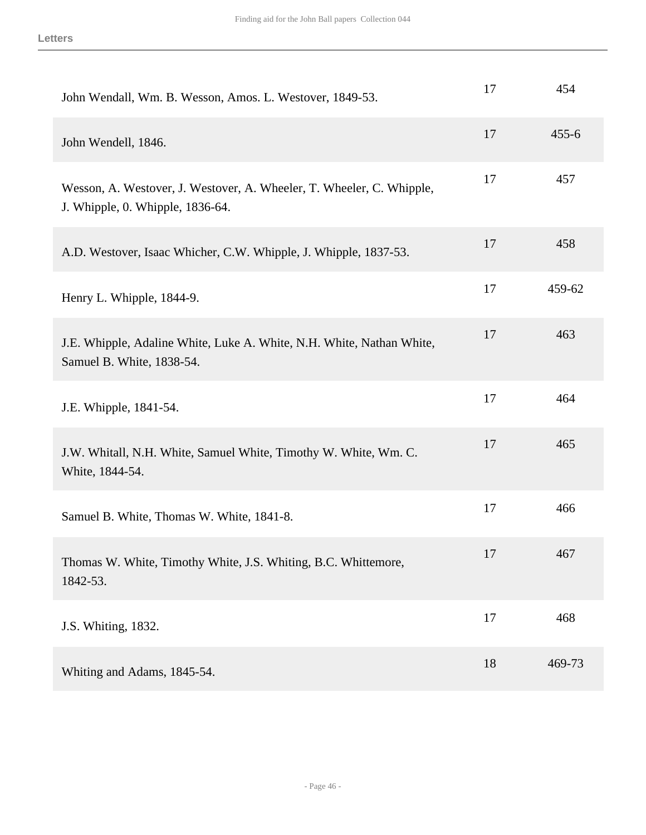| John Wendall, Wm. B. Wesson, Amos. L. Westover, 1849-53.                                                  | 17 | 454       |
|-----------------------------------------------------------------------------------------------------------|----|-----------|
| John Wendell, 1846.                                                                                       | 17 | $455 - 6$ |
| Wesson, A. Westover, J. Westover, A. Wheeler, T. Wheeler, C. Whipple,<br>J. Whipple, 0. Whipple, 1836-64. | 17 | 457       |
| A.D. Westover, Isaac Whicher, C.W. Whipple, J. Whipple, 1837-53.                                          | 17 | 458       |
| Henry L. Whipple, 1844-9.                                                                                 | 17 | 459-62    |
| J.E. Whipple, Adaline White, Luke A. White, N.H. White, Nathan White,<br>Samuel B. White, 1838-54.        | 17 | 463       |
| J.E. Whipple, 1841-54.                                                                                    | 17 | 464       |
| J.W. Whitall, N.H. White, Samuel White, Timothy W. White, Wm. C.<br>White, 1844-54.                       | 17 | 465       |
| Samuel B. White, Thomas W. White, 1841-8.                                                                 | 17 | 466       |
| Thomas W. White, Timothy White, J.S. Whiting, B.C. Whittemore,<br>1842-53.                                | 17 | 467       |
|                                                                                                           |    |           |
| J.S. Whiting, 1832.                                                                                       | 17 | 468       |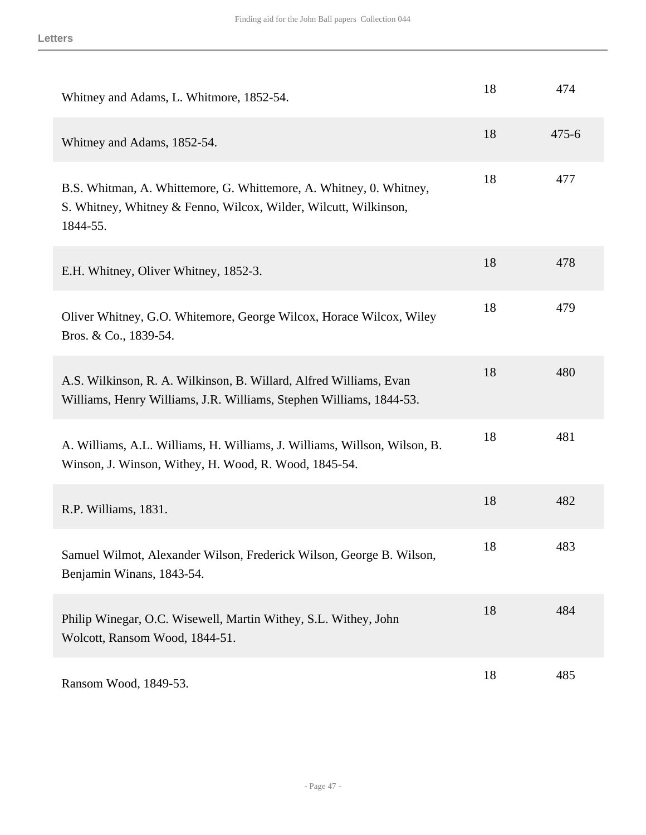| Whitney and Adams, L. Whitmore, 1852-54.                                                                                                            | 18 | 474       |
|-----------------------------------------------------------------------------------------------------------------------------------------------------|----|-----------|
| Whitney and Adams, 1852-54.                                                                                                                         | 18 | $475 - 6$ |
| B.S. Whitman, A. Whittemore, G. Whittemore, A. Whitney, O. Whitney,<br>S. Whitney, Whitney & Fenno, Wilcox, Wilder, Wilcutt, Wilkinson,<br>1844-55. | 18 | 477       |
| E.H. Whitney, Oliver Whitney, 1852-3.                                                                                                               | 18 | 478       |
| Oliver Whitney, G.O. Whitemore, George Wilcox, Horace Wilcox, Wiley<br>Bros. & Co., 1839-54.                                                        | 18 | 479       |
| A.S. Wilkinson, R. A. Wilkinson, B. Willard, Alfred Williams, Evan<br>Williams, Henry Williams, J.R. Williams, Stephen Williams, 1844-53.           | 18 | 480       |
| A. Williams, A.L. Williams, H. Williams, J. Williams, Willson, Wilson, B.<br>Winson, J. Winson, Withey, H. Wood, R. Wood, 1845-54.                  | 18 | 481       |
| R.P. Williams, 1831.                                                                                                                                | 18 | 482       |
| Samuel Wilmot, Alexander Wilson, Frederick Wilson, George B. Wilson,<br>Benjamin Winans, 1843-54.                                                   | 18 | 483       |
| Philip Winegar, O.C. Wisewell, Martin Withey, S.L. Withey, John<br>Wolcott, Ransom Wood, 1844-51.                                                   | 18 | 484       |
| Ransom Wood, 1849-53.                                                                                                                               | 18 | 485       |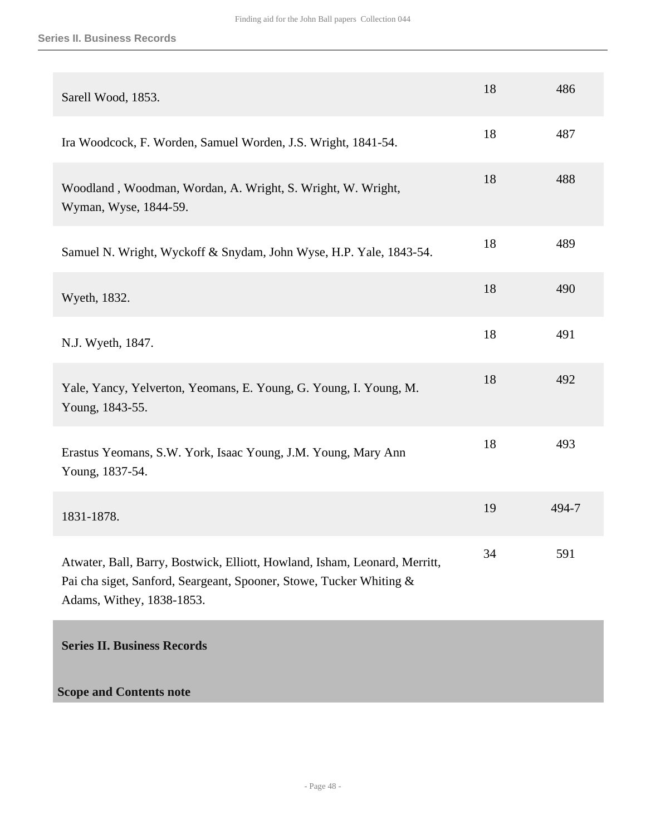| Sarell Wood, 1853.                                                                                                                                                             | 18 | 486   |
|--------------------------------------------------------------------------------------------------------------------------------------------------------------------------------|----|-------|
| Ira Woodcock, F. Worden, Samuel Worden, J.S. Wright, 1841-54.                                                                                                                  | 18 | 487   |
| Woodland, Woodman, Wordan, A. Wright, S. Wright, W. Wright,<br>Wyman, Wyse, 1844-59.                                                                                           | 18 | 488   |
| Samuel N. Wright, Wyckoff & Snydam, John Wyse, H.P. Yale, 1843-54.                                                                                                             | 18 | 489   |
| Wyeth, 1832.                                                                                                                                                                   | 18 | 490   |
| N.J. Wyeth, 1847.                                                                                                                                                              | 18 | 491   |
| Yale, Yancy, Yelverton, Yeomans, E. Young, G. Young, I. Young, M.<br>Young, 1843-55.                                                                                           | 18 | 492   |
| Erastus Yeomans, S.W. York, Isaac Young, J.M. Young, Mary Ann<br>Young, 1837-54.                                                                                               | 18 | 493   |
| 1831-1878.                                                                                                                                                                     | 19 | 494-7 |
| Atwater, Ball, Barry, Bostwick, Elliott, Howland, Isham, Leonard, Merritt,<br>Pai cha siget, Sanford, Seargeant, Spooner, Stowe, Tucker Whiting &<br>Adams, Withey, 1838-1853. | 34 | 591   |
|                                                                                                                                                                                |    |       |

<span id="page-47-0"></span>**Series II. Business Records** 

**Scope and Contents note**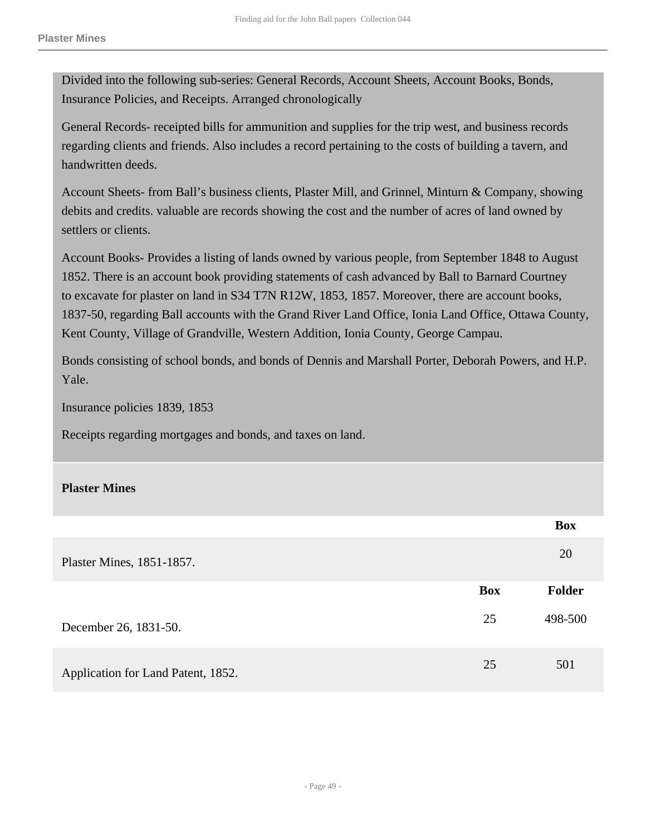Divided into the following sub-series: General Records, Account Sheets, Account Books, Bonds, Insurance Policies, and Receipts. Arranged chronologically

General Records- receipted bills for ammunition and supplies for the trip west, and business records regarding clients and friends. Also includes a record pertaining to the costs of building a tavern, and handwritten deeds.

Account Sheets- from Ball's business clients, Plaster Mill, and Grinnel, Minturn & Company, showing debits and credits. valuable are records showing the cost and the number of acres of land owned by settlers or clients.

Account Books- Provides a listing of lands owned by various people, from September 1848 to August 1852. There is an account book providing statements of cash advanced by Ball to Barnard Courtney to excavate for plaster on land in S34 T7N R12W, 1853, 1857. Moreover, there are account books, 1837-50, regarding Ball accounts with the Grand River Land Office, Ionia Land Office, Ottawa County, Kent County, Village of Grandville, Western Addition, Ionia County, George Campau.

Bonds consisting of school bonds, and bonds of Dennis and Marshall Porter, Deborah Powers, and H.P. Yale.

Insurance policies 1839, 1853

Receipts regarding mortgages and bonds, and taxes on land.

#### **Plaster Mines**

|                                    |            | <b>Box</b>    |
|------------------------------------|------------|---------------|
| Plaster Mines, 1851-1857.          |            | 20            |
|                                    | <b>Box</b> | <b>Folder</b> |
| December 26, 1831-50.              | 25         | 498-500       |
| Application for Land Patent, 1852. | 25         | 501           |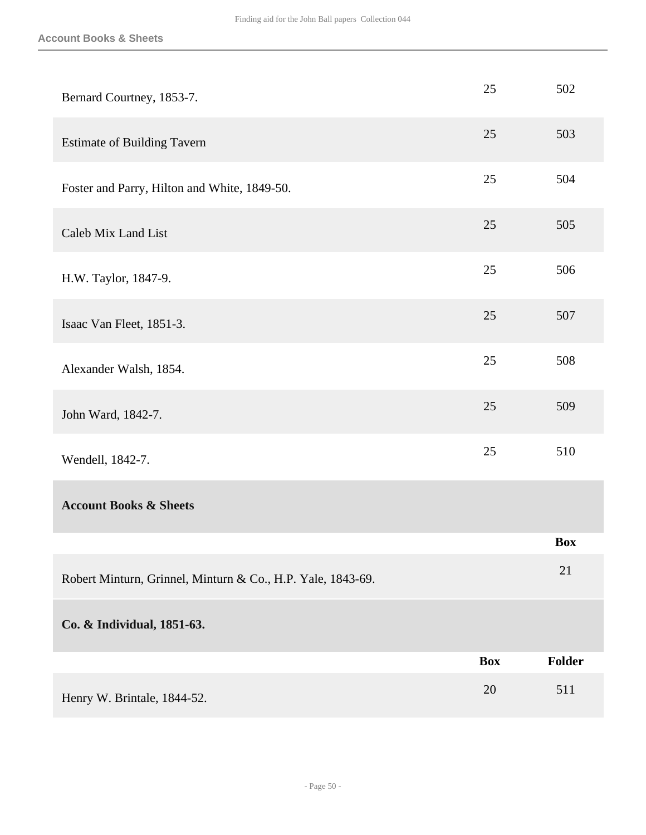| Bernard Courtney, 1853-7.                                   | 25         | 502           |
|-------------------------------------------------------------|------------|---------------|
| <b>Estimate of Building Tavern</b>                          | 25         | 503           |
| Foster and Parry, Hilton and White, 1849-50.                | 25         | 504           |
| Caleb Mix Land List                                         | 25         | 505           |
| H.W. Taylor, 1847-9.                                        | 25         | 506           |
| Isaac Van Fleet, 1851-3.                                    | 25         | 507           |
| Alexander Walsh, 1854.                                      | 25         | 508           |
| John Ward, 1842-7.                                          | 25         | 509           |
| Wendell, 1842-7.                                            | 25         | 510           |
| <b>Account Books &amp; Sheets</b>                           |            |               |
|                                                             |            | <b>Box</b>    |
| Robert Minturn, Grinnel, Minturn & Co., H.P. Yale, 1843-69. |            | 21            |
| Co. & Individual, 1851-63.                                  |            |               |
|                                                             | <b>Box</b> | <b>Folder</b> |
| Henry W. Brintale, 1844-52.                                 | 20         | 511           |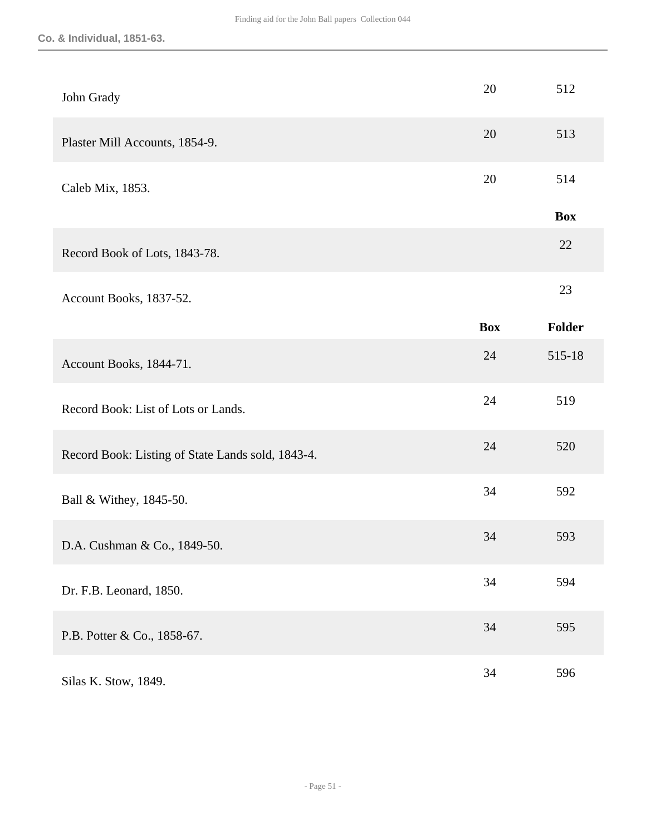| John Grady                                        | 20         | 512        |
|---------------------------------------------------|------------|------------|
| Plaster Mill Accounts, 1854-9.                    | 20         | 513        |
| Caleb Mix, 1853.                                  | 20         | 514        |
|                                                   |            | <b>Box</b> |
| Record Book of Lots, 1843-78.                     |            | 22         |
| Account Books, 1837-52.                           |            | 23         |
|                                                   | <b>Box</b> | Folder     |
| Account Books, 1844-71.                           | 24         | 515-18     |
| Record Book: List of Lots or Lands.               | 24         | 519        |
| Record Book: Listing of State Lands sold, 1843-4. | 24         | 520        |
| Ball & Withey, 1845-50.                           | 34         | 592        |
| D.A. Cushman & Co., 1849-50.                      | 34         | 593        |
| Dr. F.B. Leonard, 1850.                           | 34         | 594        |
| P.B. Potter & Co., 1858-67.                       | 34         | 595        |
| Silas K. Stow, 1849.                              | 34         | 596        |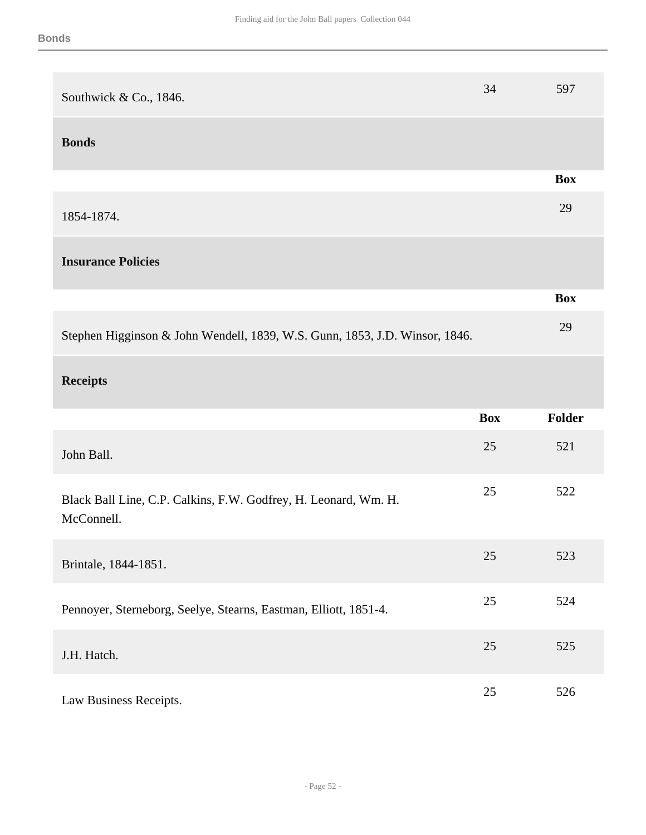| Southwick & Co., 1846.                                                        | 34         | 597        |
|-------------------------------------------------------------------------------|------------|------------|
| <b>Bonds</b>                                                                  |            |            |
|                                                                               |            | <b>Box</b> |
| 1854-1874.                                                                    |            | 29         |
| <b>Insurance Policies</b>                                                     |            |            |
|                                                                               |            | <b>Box</b> |
| Stephen Higginson & John Wendell, 1839, W.S. Gunn, 1853, J.D. Winsor, 1846.   |            | 29         |
| <b>Receipts</b>                                                               |            |            |
|                                                                               |            |            |
|                                                                               | <b>Box</b> | Folder     |
| John Ball.                                                                    | 25         | 521        |
| Black Ball Line, C.P. Calkins, F.W. Godfrey, H. Leonard, Wm. H.<br>McConnell. | 25         | 522        |
| Brintale, 1844-1851.                                                          | 25         | 523        |
| Pennoyer, Sterneborg, Seelye, Stearns, Eastman, Elliott, 1851-4.              | $25\,$     | 524        |
| J.H. Hatch.                                                                   | 25         | 525        |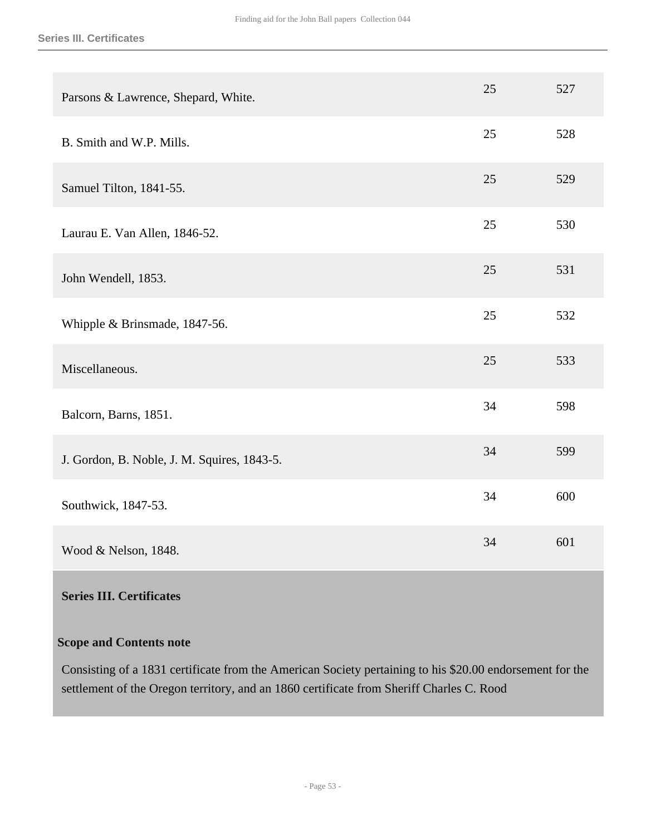| Parsons & Lawrence, Shepard, White.         | 25 | 527 |
|---------------------------------------------|----|-----|
| B. Smith and W.P. Mills.                    | 25 | 528 |
| Samuel Tilton, 1841-55.                     | 25 | 529 |
| Laurau E. Van Allen, 1846-52.               | 25 | 530 |
| John Wendell, 1853.                         | 25 | 531 |
| Whipple & Brinsmade, 1847-56.               | 25 | 532 |
| Miscellaneous.                              | 25 | 533 |
| Balcorn, Barns, 1851.                       | 34 | 598 |
| J. Gordon, B. Noble, J. M. Squires, 1843-5. | 34 | 599 |
| Southwick, 1847-53.                         | 34 | 600 |
| Wood & Nelson, 1848.                        | 34 | 601 |

### <span id="page-52-0"></span>**Series III. Certificates**

#### **Scope and Contents note**

Consisting of a 1831 certificate from the American Society pertaining to his \$20.00 endorsement for the settlement of the Oregon territory, and an 1860 certificate from Sheriff Charles C. Rood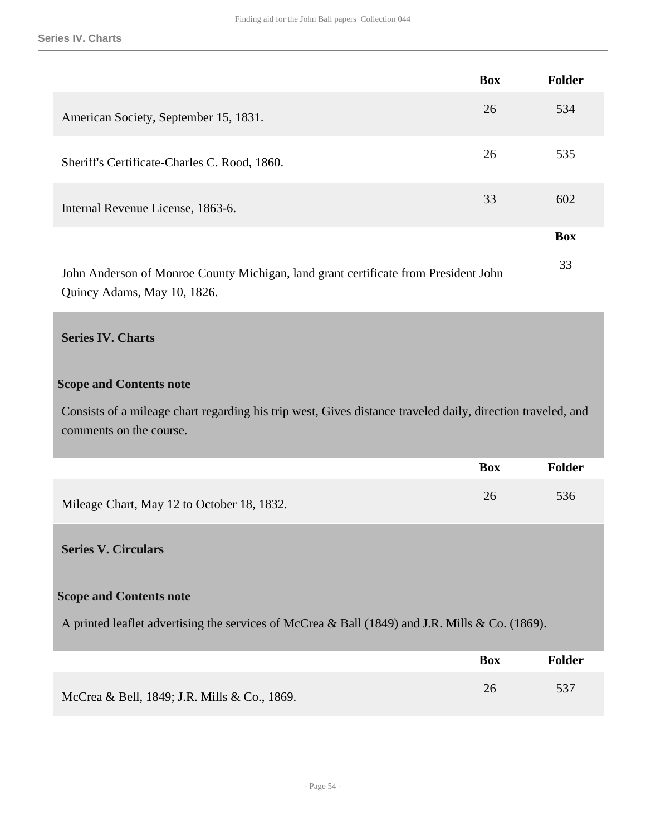|                                                                                     | <b>Box</b> | <b>Folder</b> |
|-------------------------------------------------------------------------------------|------------|---------------|
| American Society, September 15, 1831.                                               | 26         | 534           |
| Sheriff's Certificate-Charles C. Rood, 1860.                                        | 26         | 535           |
| Internal Revenue License, 1863-6.                                                   | 33         | 602           |
|                                                                                     |            | <b>Box</b>    |
| John Anderson of Monroe County Michigan, land grant certificate from President John |            | 33            |

Quincy Adams, May 10, 1826.

# <span id="page-53-0"></span>**Series IV. Charts**

#### **Scope and Contents note**

Consists of a mileage chart regarding his trip west, Gives distance traveled daily, direction traveled, and comments on the course.

|                                            | Box | <b>Folder</b> |
|--------------------------------------------|-----|---------------|
| Mileage Chart, May 12 to October 18, 1832. |     | 536           |

#### <span id="page-53-1"></span>**Series V. Circulars**

#### **Scope and Contents note**

A printed leaflet advertising the services of McCrea & Ball (1849) and J.R. Mills & Co. (1869).

|                                              | <b>Box</b> | <b>Folder</b> |
|----------------------------------------------|------------|---------------|
| McCrea & Bell, 1849; J.R. Mills & Co., 1869. | 26         | 537           |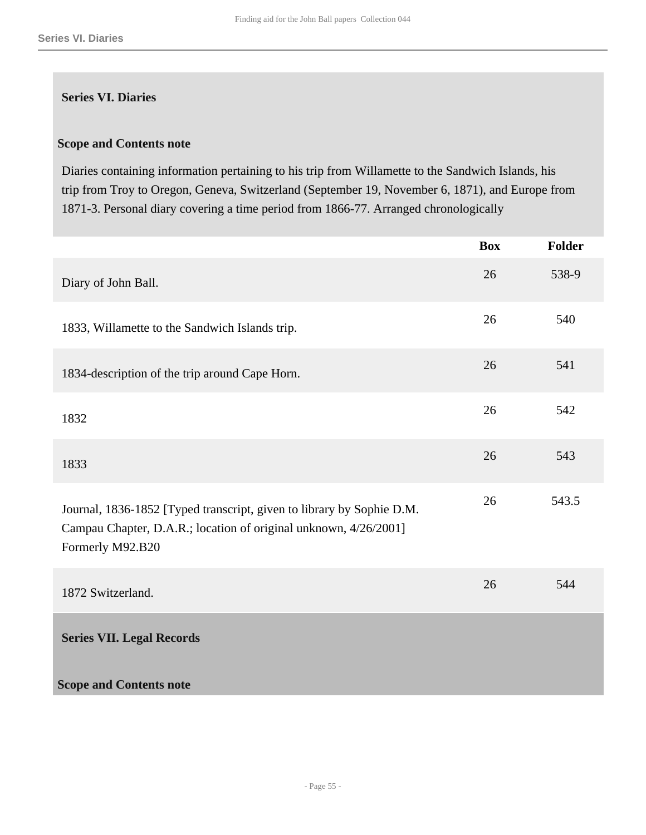#### **Series VI. Diaries**

# **Scope and Contents note**

Diaries containing information pertaining to his trip from Willamette to the Sandwich Islands, his trip from Troy to Oregon, Geneva, Switzerland (September 19, November 6, 1871), and Europe from 1871-3. Personal diary covering a time period from 1866-77. Arranged chronologically

<span id="page-54-0"></span>

|                                                                                                                                                               | <b>Box</b> | <b>Folder</b> |
|---------------------------------------------------------------------------------------------------------------------------------------------------------------|------------|---------------|
| Diary of John Ball.                                                                                                                                           | 26         | 538-9         |
| 1833, Willamette to the Sandwich Islands trip.                                                                                                                | 26         | 540           |
| 1834-description of the trip around Cape Horn.                                                                                                                | 26         | 541           |
| 1832                                                                                                                                                          | 26         | 542           |
| 1833                                                                                                                                                          | 26         | 543           |
| Journal, 1836-1852 [Typed transcript, given to library by Sophie D.M.<br>Campau Chapter, D.A.R.; location of original unknown, 4/26/2001]<br>Formerly M92.B20 | 26         | 543.5         |
| 1872 Switzerland.                                                                                                                                             | 26         | 544           |
| <b>Series VII. Legal Records</b>                                                                                                                              |            |               |
| <b>Scope and Contents note</b>                                                                                                                                |            |               |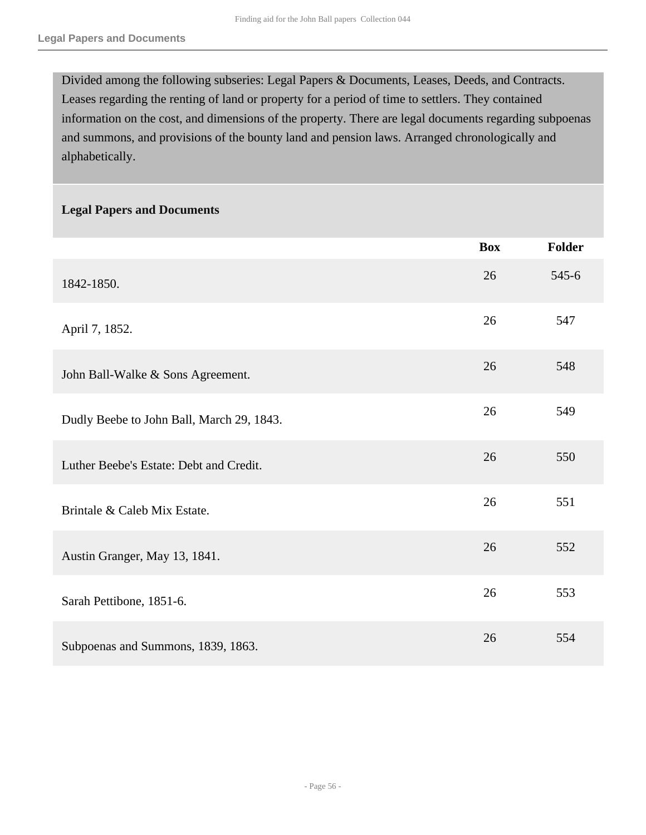Divided among the following subseries: Legal Papers & Documents, Leases, Deeds, and Contracts. Leases regarding the renting of land or property for a period of time to settlers. They contained information on the cost, and dimensions of the property. There are legal documents regarding subpoenas and summons, and provisions of the bounty land and pension laws. Arranged chronologically and alphabetically.

#### **Legal Papers and Documents**

|                                           | <b>Box</b> | <b>Folder</b> |
|-------------------------------------------|------------|---------------|
| 1842-1850.                                | 26         | $545-6$       |
| April 7, 1852.                            | 26         | 547           |
| John Ball-Walke & Sons Agreement.         | 26         | 548           |
| Dudly Beebe to John Ball, March 29, 1843. | 26         | 549           |
| Luther Beebe's Estate: Debt and Credit.   | 26         | 550           |
| Brintale & Caleb Mix Estate.              | 26         | 551           |
| Austin Granger, May 13, 1841.             | 26         | 552           |
| Sarah Pettibone, 1851-6.                  | 26         | 553           |
| Subpoenas and Summons, 1839, 1863.        | 26         | 554           |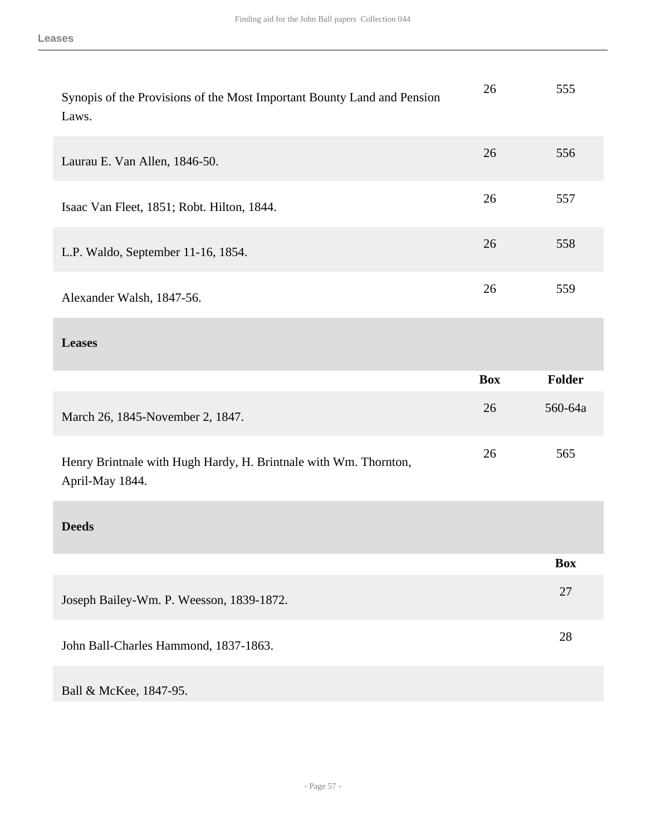| Synopis of the Provisions of the Most Important Bounty Land and Pension<br>Laws.    | 26         | 555           |
|-------------------------------------------------------------------------------------|------------|---------------|
| Laurau E. Van Allen, 1846-50.                                                       | 26         | 556           |
| Isaac Van Fleet, 1851; Robt. Hilton, 1844.                                          | 26         | 557           |
| L.P. Waldo, September 11-16, 1854.                                                  | 26         | 558           |
| Alexander Walsh, 1847-56.                                                           | 26         | 559           |
| <b>Leases</b>                                                                       |            |               |
|                                                                                     | <b>Box</b> | <b>Folder</b> |
|                                                                                     |            |               |
| March 26, 1845-November 2, 1847.                                                    | 26         | 560-64a       |
| Henry Brintnale with Hugh Hardy, H. Brintnale with Wm. Thornton,<br>April-May 1844. | 26         | 565           |
| <b>Deeds</b>                                                                        |            |               |
|                                                                                     |            | <b>Box</b>    |
| Joseph Bailey-Wm. P. Weesson, 1839-1872.                                            |            | 27            |
| John Ball-Charles Hammond, 1837-1863.                                               |            | 28            |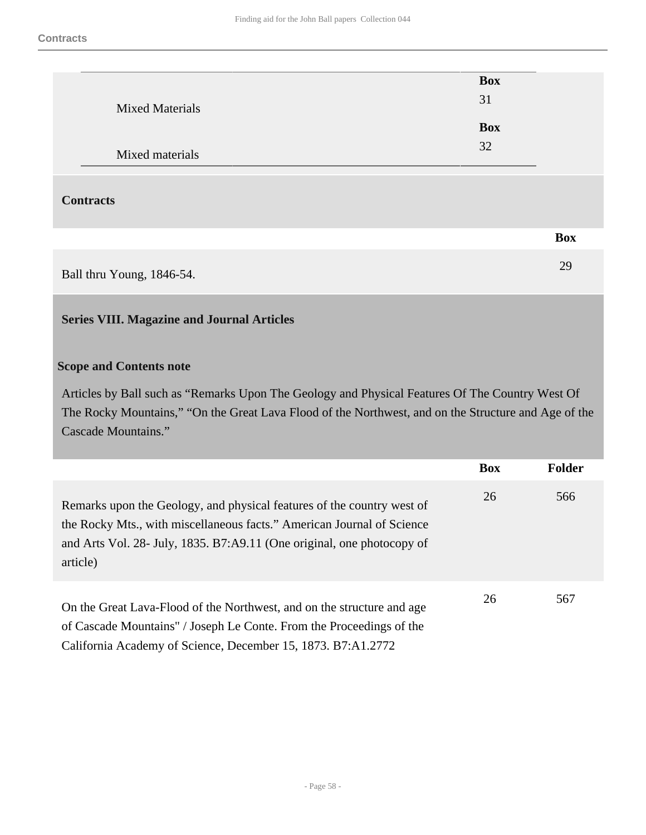|                           | <b>Box</b> |            |
|---------------------------|------------|------------|
| <b>Mixed Materials</b>    | 31         |            |
|                           | <b>Box</b> |            |
|                           |            |            |
| Mixed materials           | 32         |            |
|                           |            |            |
| <b>Contracts</b>          |            |            |
|                           |            | <b>Box</b> |
| Ball thru Young, 1846-54. |            | 29         |

# <span id="page-57-0"></span>**Series VIII. Magazine and Journal Articles**

### **Scope and Contents note**

Articles by Ball such as "Remarks Upon The Geology and Physical Features Of The Country West Of The Rocky Mountains," "On the Great Lava Flood of the Northwest, and on the Structure and Age of the Cascade Mountains."

|                                                                                                                                                                                                                                        | <b>Box</b> | <b>Folder</b> |
|----------------------------------------------------------------------------------------------------------------------------------------------------------------------------------------------------------------------------------------|------------|---------------|
| Remarks upon the Geology, and physical features of the country west of<br>the Rocky Mts., with miscellaneous facts." American Journal of Science<br>and Arts Vol. 28- July, 1835. B7:A9.11 (One original, one photocopy of<br>article) | 26         | 566           |
| On the Great Lava-Flood of the Northwest, and on the structure and age<br>of Cascade Mountains" / Joseph Le Conte. From the Proceedings of the<br>California Academy of Science, December 15, 1873. B7:A1.2772                         | 26         | 567           |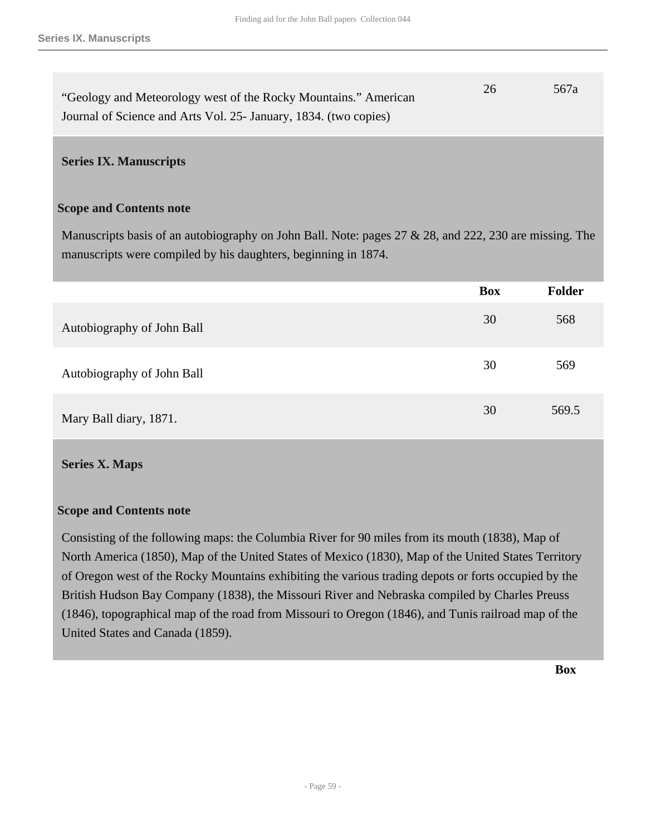| "Geology and Meteorology west of the Rocky Mountains." American  | 26 | 567a |
|------------------------------------------------------------------|----|------|
| Journal of Science and Arts Vol. 25- January, 1834. (two copies) |    |      |

#### <span id="page-58-0"></span>**Series IX. Manuscripts**

#### **Scope and Contents note**

Manuscripts basis of an autobiography on John Ball. Note: pages 27 & 28, and 222, 230 are missing. The manuscripts were compiled by his daughters, beginning in 1874.

|                            | <b>Box</b> | <b>Folder</b> |
|----------------------------|------------|---------------|
| Autobiography of John Ball | 30         | 568           |
| Autobiography of John Ball | 30         | 569           |
| Mary Ball diary, 1871.     | 30         | 569.5         |

#### <span id="page-58-1"></span>**Series X. Maps**

#### **Scope and Contents note**

Consisting of the following maps: the Columbia River for 90 miles from its mouth (1838), Map of North America (1850), Map of the United States of Mexico (1830), Map of the United States Territory of Oregon west of the Rocky Mountains exhibiting the various trading depots or forts occupied by the British Hudson Bay Company (1838), the Missouri River and Nebraska compiled by Charles Preuss (1846), topographical map of the road from Missouri to Oregon (1846), and Tunis railroad map of the United States and Canada (1859).

**Box**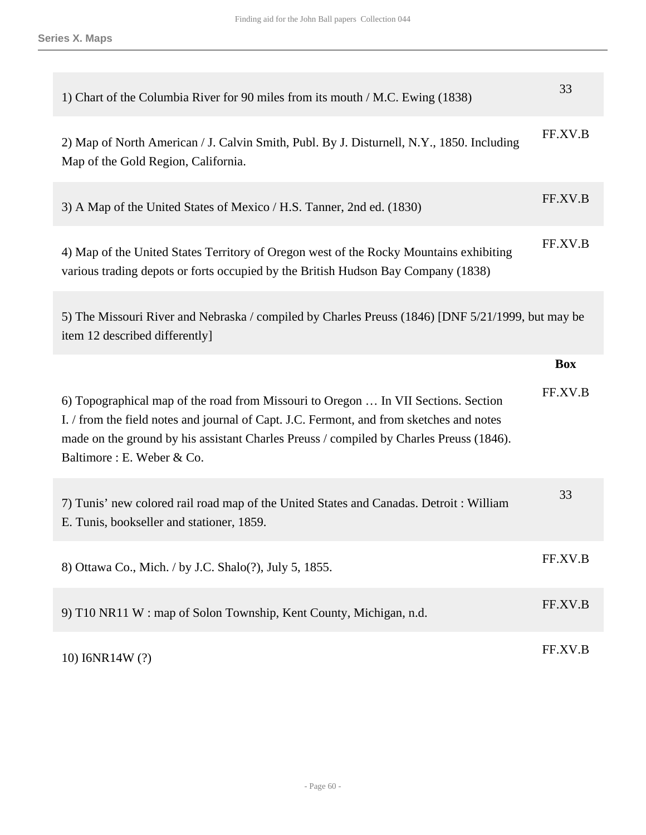| 1) Chart of the Columbia River for 90 miles from its mouth / M.C. Ewing (1838)                                                                                                                                                                                                                          | 33         |
|---------------------------------------------------------------------------------------------------------------------------------------------------------------------------------------------------------------------------------------------------------------------------------------------------------|------------|
| 2) Map of North American / J. Calvin Smith, Publ. By J. Disturnell, N.Y., 1850. Including<br>Map of the Gold Region, California.                                                                                                                                                                        | FF.XV.B    |
| 3) A Map of the United States of Mexico / H.S. Tanner, 2nd ed. (1830)                                                                                                                                                                                                                                   | FF.XV.B    |
| 4) Map of the United States Territory of Oregon west of the Rocky Mountains exhibiting<br>various trading depots or forts occupied by the British Hudson Bay Company (1838)                                                                                                                             | FF.XV.B    |
| 5) The Missouri River and Nebraska / compiled by Charles Preuss (1846) [DNF 5/21/1999, but may be<br>item 12 described differently]                                                                                                                                                                     |            |
|                                                                                                                                                                                                                                                                                                         | <b>Box</b> |
|                                                                                                                                                                                                                                                                                                         |            |
| 6) Topographical map of the road from Missouri to Oregon  In VII Sections. Section<br>I. / from the field notes and journal of Capt. J.C. Fermont, and from sketches and notes<br>made on the ground by his assistant Charles Preuss / compiled by Charles Preuss (1846).<br>Baltimore : E. Weber & Co. | FF.XV.B    |
| 7) Tunis' new colored rail road map of the United States and Canadas. Detroit: William<br>E. Tunis, bookseller and stationer, 1859.                                                                                                                                                                     | 33         |
| 8) Ottawa Co., Mich. / by J.C. Shalo(?), July 5, 1855.                                                                                                                                                                                                                                                  | FF.XV.B    |
| 9) T10 NR11 W: map of Solon Township, Kent County, Michigan, n.d.                                                                                                                                                                                                                                       | FF.XV.B    |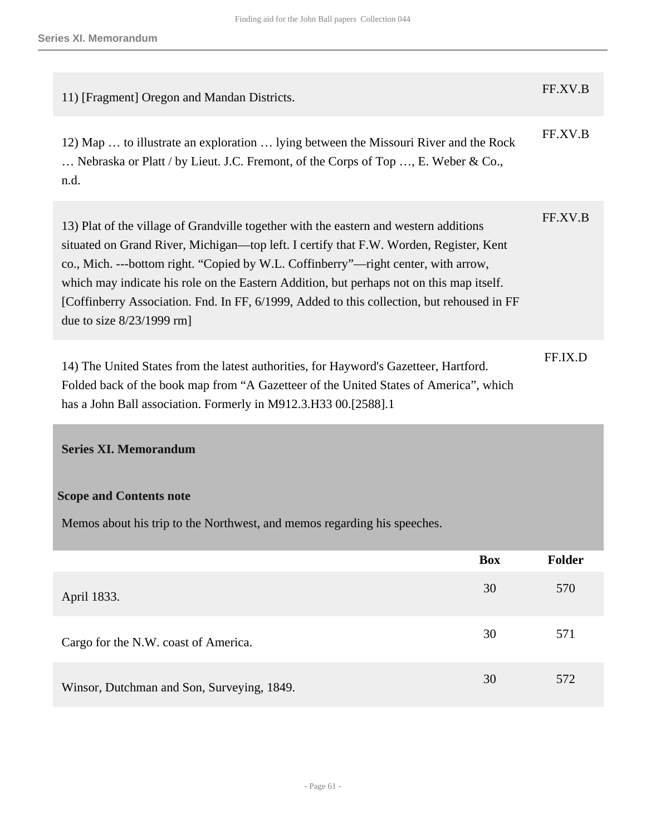| 11) [Fragment] Oregon and Mandan Districts.                                                                                                                                                                                                                                                                                                                                                                                                                                                   | FF.XV.B |
|-----------------------------------------------------------------------------------------------------------------------------------------------------------------------------------------------------------------------------------------------------------------------------------------------------------------------------------------------------------------------------------------------------------------------------------------------------------------------------------------------|---------|
| 12) Map  to illustrate an exploration  lying between the Missouri River and the Rock<br>Nebraska or Platt / by Lieut. J.C. Fremont, of the Corps of Top , E. Weber & Co.,<br>n.d.                                                                                                                                                                                                                                                                                                             | FF.XV.B |
| 13) Plat of the village of Grandville together with the eastern and western additions<br>situated on Grand River, Michigan—top left. I certify that F.W. Worden, Register, Kent<br>co., Mich. ---bottom right. "Copied by W.L. Coffinberry"—right center, with arrow,<br>which may indicate his role on the Eastern Addition, but perhaps not on this map itself.<br>[Coffinberry Association. Fnd. In FF, 6/1999, Added to this collection, but rehoused in FF<br>due to size $8/23/1999$ rm | FF.XV.B |
| 14) The United States from the latest authorities, for Hayword's Gazetteer, Hartford.<br>Folded back of the book map from "A Gazetteer of the United States of America", which<br>has a John Ball association. Formerly in M912.3.H33 00.[2588].1                                                                                                                                                                                                                                             | FF.IX.D |

# <span id="page-60-0"></span>**Series XI. Memorandum**

# **Scope and Contents note**

Memos about his trip to the Northwest, and memos regarding his speeches.

|                                            | <b>Box</b> | Folder |
|--------------------------------------------|------------|--------|
| April 1833.                                | 30         | 570    |
| Cargo for the N.W. coast of America.       | 30         | 571    |
| Winsor, Dutchman and Son, Surveying, 1849. | 30         | 572    |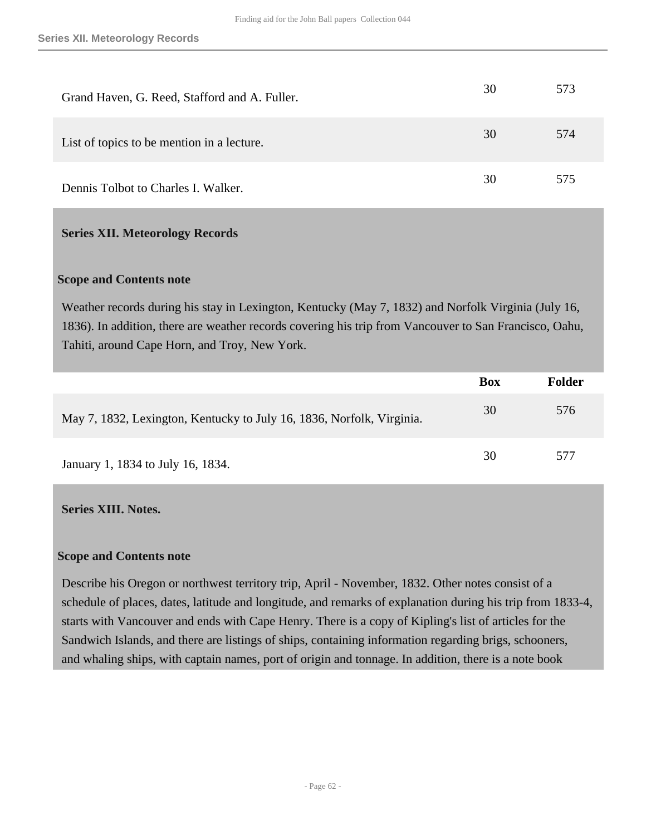| Grand Haven, G. Reed, Stafford and A. Fuller. | 30 | 573 |
|-----------------------------------------------|----|-----|
| List of topics to be mention in a lecture.    | 30 | 574 |
| Dennis Tolbot to Charles I. Walker.           | 30 | 575 |

#### <span id="page-61-0"></span>**Series XII. Meteorology Records**

#### **Scope and Contents note**

Weather records during his stay in Lexington, Kentucky (May 7, 1832) and Norfolk Virginia (July 16, 1836). In addition, there are weather records covering his trip from Vancouver to San Francisco, Oahu, Tahiti, around Cape Horn, and Troy, New York.

|                                                                       | Box | <b>Folder</b> |
|-----------------------------------------------------------------------|-----|---------------|
| May 7, 1832, Lexington, Kentucky to July 16, 1836, Norfolk, Virginia. | 30  | 576           |
| January 1, 1834 to July 16, 1834.                                     | 30  | 577           |

#### <span id="page-61-1"></span>**Series XIII. Notes.**

#### **Scope and Contents note**

Describe his Oregon or northwest territory trip, April - November, 1832. Other notes consist of a schedule of places, dates, latitude and longitude, and remarks of explanation during his trip from 1833-4, starts with Vancouver and ends with Cape Henry. There is a copy of Kipling's list of articles for the Sandwich Islands, and there are listings of ships, containing information regarding brigs, schooners, and whaling ships, with captain names, port of origin and tonnage. In addition, there is a note book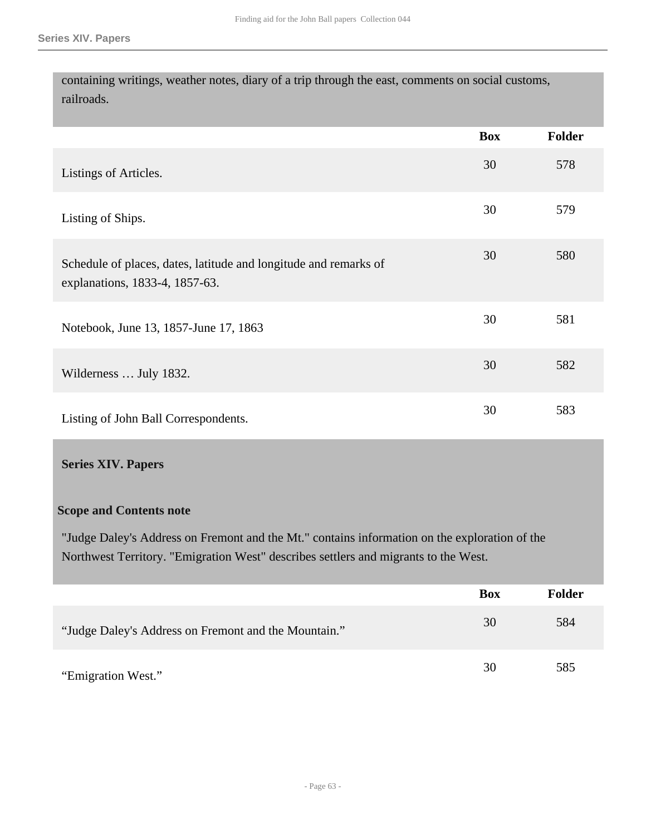containing writings, weather notes, diary of a trip through the east, comments on social customs, railroads.

|                                                                                                    | <b>Box</b> | <b>Folder</b> |
|----------------------------------------------------------------------------------------------------|------------|---------------|
| Listings of Articles.                                                                              | 30         | 578           |
| Listing of Ships.                                                                                  | 30         | 579           |
| Schedule of places, dates, latitude and longitude and remarks of<br>explanations, 1833-4, 1857-63. | 30         | 580           |
| Notebook, June 13, 1857-June 17, 1863                                                              | 30         | 581           |
| Wilderness  July 1832.                                                                             | 30         | 582           |
| Listing of John Ball Correspondents.                                                               | 30         | 583           |

#### <span id="page-62-0"></span>**Series XIV. Papers**

### **Scope and Contents note**

"Judge Daley's Address on Fremont and the Mt." contains information on the exploration of the Northwest Territory. "Emigration West" describes settlers and migrants to the West.

|                                                      | <b>Box</b> | Folder |
|------------------------------------------------------|------------|--------|
| "Judge Daley's Address on Fremont and the Mountain." | 30         | 584    |
| "Emigration West."                                   | 30         | 585    |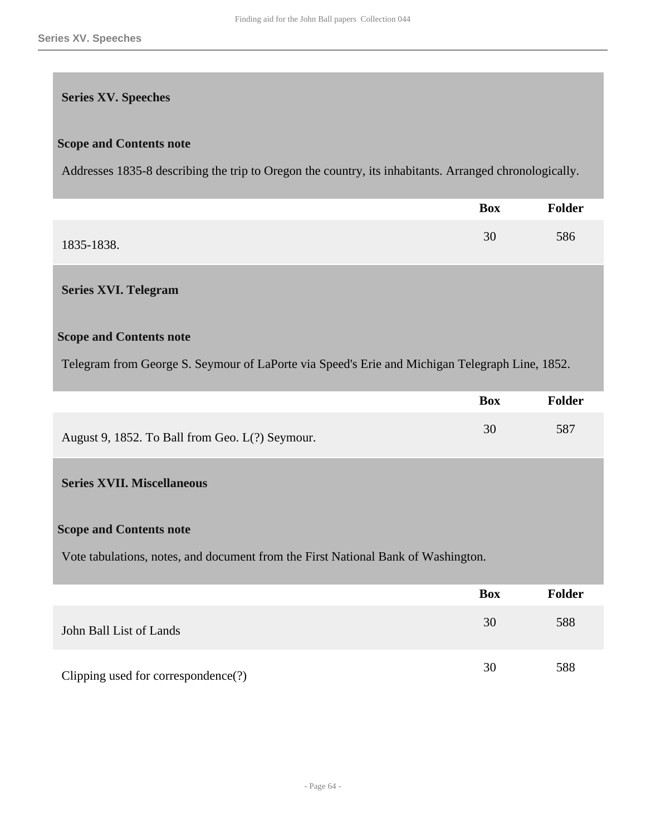#### <span id="page-63-0"></span>**Series XV. Speeches**

#### **Scope and Contents note**

Addresses 1835-8 describing the trip to Oregon the country, its inhabitants. Arranged chronologically.

|            | <b>Box</b> | <b>Folder</b> |
|------------|------------|---------------|
| 1835-1838. | 30         | 586           |

#### <span id="page-63-1"></span>**Series XVI. Telegram**

#### **Scope and Contents note**

Telegram from George S. Seymour of LaPorte via Speed's Erie and Michigan Telegraph Line, 1852.

|                                                 | Box | Folder |
|-------------------------------------------------|-----|--------|
| August 9, 1852. To Ball from Geo. L(?) Seymour. |     | 587    |

#### <span id="page-63-2"></span>**Series XVII. Miscellaneous**

#### **Scope and Contents note**

Vote tabulations, notes, and document from the First National Bank of Washington.

|                                     | <b>Box</b> | <b>Folder</b> |
|-------------------------------------|------------|---------------|
| John Ball List of Lands             | 30         | 588           |
| Clipping used for correspondence(?) | 30         | 588           |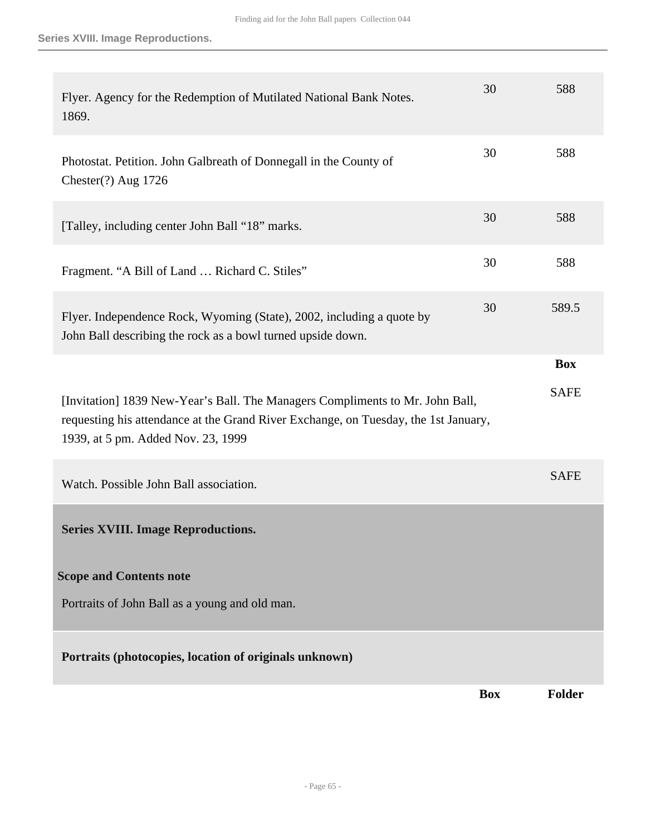**Series XVIII. Image Reproductions.**

<span id="page-64-0"></span>

| Flyer. Agency for the Redemption of Mutilated National Bank Notes.<br>1869.                                                                                                                                | 30         | 588         |
|------------------------------------------------------------------------------------------------------------------------------------------------------------------------------------------------------------|------------|-------------|
| Photostat. Petition. John Galbreath of Donnegall in the County of<br>Chester(?) Aug 1726                                                                                                                   | 30         | 588         |
| [Talley, including center John Ball "18" marks.                                                                                                                                                            | 30         | 588         |
| Fragment. "A Bill of Land  Richard C. Stiles"                                                                                                                                                              | 30         | 588         |
| Flyer. Independence Rock, Wyoming (State), 2002, including a quote by<br>John Ball describing the rock as a bowl turned upside down.                                                                       | 30         | 589.5       |
|                                                                                                                                                                                                            |            | <b>Box</b>  |
| [Invitation] 1839 New-Year's Ball. The Managers Compliments to Mr. John Ball,<br>requesting his attendance at the Grand River Exchange, on Tuesday, the 1st January,<br>1939, at 5 pm. Added Nov. 23, 1999 |            | <b>SAFE</b> |
| Watch. Possible John Ball association.                                                                                                                                                                     |            | <b>SAFE</b> |
| <b>Series XVIII. Image Reproductions.</b>                                                                                                                                                                  |            |             |
| <b>Scope and Contents note</b>                                                                                                                                                                             |            |             |
| Portraits of John Ball as a young and old man.                                                                                                                                                             |            |             |
| Portraits (photocopies, location of originals unknown)                                                                                                                                                     |            |             |
|                                                                                                                                                                                                            | <b>Box</b> | Folder      |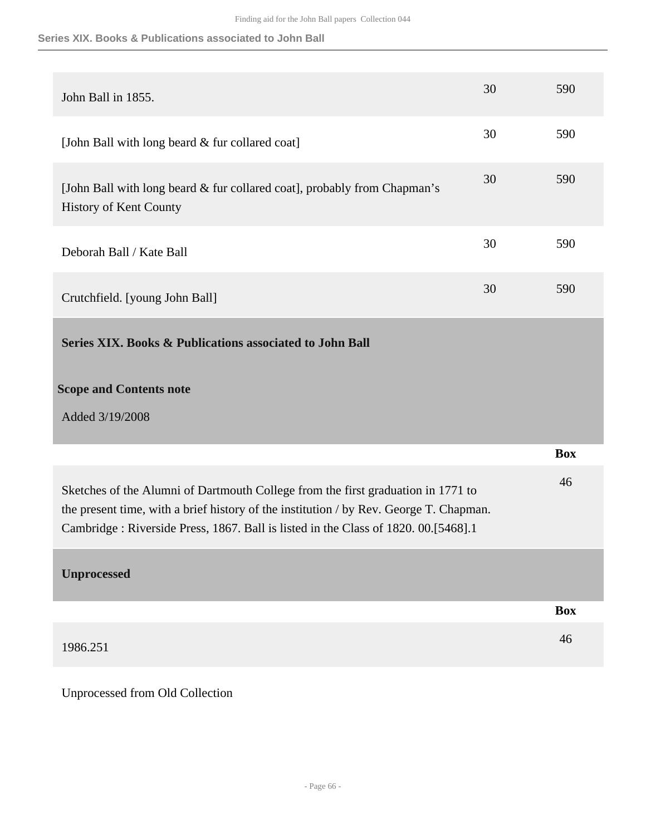|  |  |  | Series XIX. Books & Publications associated to John Ball |  |  |  |  |
|--|--|--|----------------------------------------------------------|--|--|--|--|
|--|--|--|----------------------------------------------------------|--|--|--|--|

<span id="page-65-0"></span>

| John Ball in 1855.                                                                                                                                                                                                                                               | 30 | 590        |
|------------------------------------------------------------------------------------------------------------------------------------------------------------------------------------------------------------------------------------------------------------------|----|------------|
| [John Ball with long beard & fur collared coat]                                                                                                                                                                                                                  | 30 | 590        |
| [John Ball with long beard & fur collared coat], probably from Chapman's<br><b>History of Kent County</b>                                                                                                                                                        | 30 | 590        |
| Deborah Ball / Kate Ball                                                                                                                                                                                                                                         | 30 | 590        |
| Crutchfield. [young John Ball]                                                                                                                                                                                                                                   | 30 | 590        |
| Series XIX. Books & Publications associated to John Ball                                                                                                                                                                                                         |    |            |
| <b>Scope and Contents note</b>                                                                                                                                                                                                                                   |    |            |
| Added 3/19/2008                                                                                                                                                                                                                                                  |    |            |
|                                                                                                                                                                                                                                                                  |    |            |
|                                                                                                                                                                                                                                                                  |    | <b>Box</b> |
| Sketches of the Alumni of Dartmouth College from the first graduation in 1771 to<br>the present time, with a brief history of the institution / by Rev. George T. Chapman.<br>Cambridge: Riverside Press, 1867. Ball is listed in the Class of 1820. 00.[5468].1 |    | 46         |
| <b>Unprocessed</b>                                                                                                                                                                                                                                               |    |            |
|                                                                                                                                                                                                                                                                  |    | <b>Box</b> |
| 1986.251                                                                                                                                                                                                                                                         |    | 46         |

<span id="page-65-1"></span>Unprocessed from Old Collection